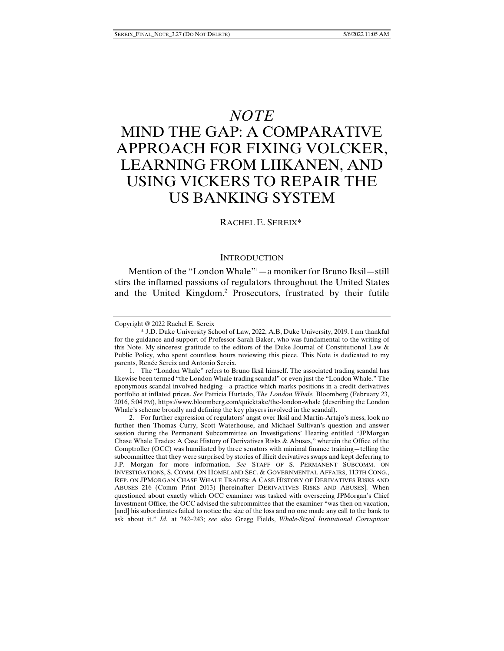# *NOTE*

# MIND THE GAP: A COMPARATIVE APPROACH FOR FIXING VOLCKER, LEARNING FROM LIIKANEN, AND USING VICKERS TO REPAIR THE US BANKING SYSTEM

RACHEL E. SEREIX\*

#### **INTRODUCTION**

Mention of the "London Whale"1 —a moniker for Bruno Iksil—still stirs the inflamed passions of regulators throughout the United States and the United Kingdom.2 Prosecutors, frustrated by their futile

 1. The "London Whale" refers to Bruno Iksil himself. The associated trading scandal has likewise been termed "the London Whale trading scandal" or even just the "London Whale." The eponymous scandal involved hedging—a practice which marks positions in a credit derivatives portfolio at inflated prices. *See* Patricia Hurtado, T*he London Whale,* Bloomberg (February 23, 2016, 5:04 PM), https://www.bloomberg.com/quicktake/the-london-whale (describing the London Whale's scheme broadly and defining the key players involved in the scandal).

 2. For further expression of regulators' angst over Iksil and Martin-Artajo's mess, look no further then Thomas Curry, Scott Waterhouse, and Michael Sullivan's question and answer session during the Permanent Subcommittee on Investigations' Hearing entitled "JPMorgan Chase Whale Trades: A Case History of Derivatives Risks & Abuses," wherein the Office of the Comptroller (OCC) was humiliated by three senators with minimal finance training—telling the subcommittee that they were surprised by stories of illicit derivatives swaps and kept deferring to J.P. Morgan for more information. *See* STAFF OF S. PERMANENT SUBCOMM. ON INVESTIGATIONS, S. COMM. ON HOMELAND SEC. & GOVERNMENTAL AFFAIRS, 113TH CONG., REP. ON JPMORGAN CHASE WHALE TRADES: A CASE HISTORY OF DERIVATIVES RISKS AND ABUSES 216 (Comm Print 2013) [hereinafter DERIVATIVES RISKS AND ABUSES]. When questioned about exactly which OCC examiner was tasked with overseeing JPMorgan's Chief Investment Office, the OCC advised the subcommittee that the examiner "was then on vacation, [and] his subordinates failed to notice the size of the loss and no one made any call to the bank to ask about it." *Id.* at 242–243; *see also* Gregg Fields, *Whale-Sized Institutional Corruption:* 

Copyright @ 2022 Rachel E. Sereix

 <sup>\*</sup> J.D. Duke University School of Law, 2022, A.B, Duke University, 2019. I am thankful for the guidance and support of Professor Sarah Baker, who was fundamental to the writing of this Note. My sincerest gratitude to the editors of the Duke Journal of Constitutional Law & Public Policy, who spent countless hours reviewing this piece. This Note is dedicated to my parents, Renée Sereix and Antonio Sereix.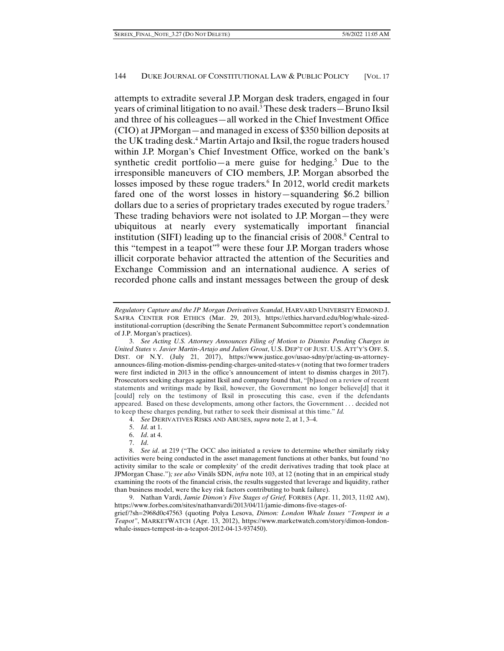attempts to extradite several J.P. Morgan desk traders, engaged in four years of criminal litigation to no avail.<sup>3</sup> These desk traders—Bruno Iksil and three of his colleagues—all worked in the Chief Investment Office (CIO) at JPMorgan—and managed in excess of \$350 billion deposits at the UK trading desk.<sup>4</sup> Martin Artajo and Iksil, the rogue traders housed within J.P. Morgan's Chief Investment Office, worked on the bank's synthetic credit portfolio — a mere guise for hedging.<sup>5</sup> Due to the irresponsible maneuvers of CIO members, J.P. Morgan absorbed the losses imposed by these rogue traders.<sup>6</sup> In 2012, world credit markets fared one of the worst losses in history—squandering \$6.2 billion dollars due to a series of proprietary trades executed by rogue traders.7 These trading behaviors were not isolated to J.P. Morgan—they were ubiquitous at nearly every systematically important financial institution (SIFI) leading up to the financial crisis of 2008.<sup>8</sup> Central to this "tempest in a teapot"9 were these four J.P. Morgan traders whose illicit corporate behavior attracted the attention of the Securities and Exchange Commission and an international audience. A series of recorded phone calls and instant messages between the group of desk

- 6. *Id*. at 4.
- 7. *Id*.

*Regulatory Capture and the JP Morgan Derivatives Scandal*, HARVARD UNIVERSITY EDMOND J. SAFRA CENTER FOR ETHICS (Mar. 29, 2013), https://ethics.harvard.edu/blog/whale-sizedinstitutional-corruption (describing the Senate Permanent Subcommittee report's condemnation of J.P. Morgan's practices).

 <sup>3.</sup> *See Acting U.S. Attorney Announces Filing of Motion to Dismiss Pending Charges in United States v. Javier Martin-Artajo and Julien Grout*, U.S. DEP'T OF JUST. U.S. ATT'Y'S OFF. S. DIST. OF N.Y. (July 21, 2017), https://www.justice.gov/usao-sdny/pr/acting-us-attorneyannounces-filing-motion-dismiss-pending-charges-united-states-v (noting that two former traders were first indicted in 2013 in the office's announcement of intent to dismiss charges in 2017). Prosecutors seeking charges against Iksil and company found that, "[b]ased on a review of recent statements and writings made by Iksil, however, the Government no longer believe[d] that it [could] rely on the testimony of Iksil in prosecuting this case, even if the defendants appeared. Based on these developments, among other factors, the Government . . . decided not to keep these charges pending, but rather to seek their dismissal at this time." *Id.*

 <sup>4.</sup> *See* DERIVATIVES RISKS AND ABUSES, *supra* note 2, at 1, 3–4.

 <sup>5.</sup> *Id*. at 1.

 <sup>8.</sup> *See id*. at 219 ("The OCC also initiated a review to determine whether similarly risky activities were being conducted in the asset management functions at other banks, but found 'no activity similar to the scale or complexity' of the credit derivatives trading that took place at JPMorgan Chase.")*; see also* Vinãls SDN, *infra* note 103, at 12 (noting that in an empirical study examining the roots of the financial crisis, the results suggested that leverage and liquidity, rather than business model, were the key risk factors contributing to bank failure).

 <sup>9.</sup> Nathan Vardi, *Jamie Dimon's Five Stages of Grief,* FORBES (Apr. 11, 2013, 11:02 AM), https://www.forbes.com/sites/nathanvardi/2013/04/11/jamie-dimons-five-stages-of-

grief/?sh=2968d0c47563 (quoting Polya Lesova, *Dimon: London Whale Issues "Tempest in a Teapot"*, MARKETWATCH (Apr. 13, 2012), https://www.marketwatch.com/story/dimon-londonwhale-issues-tempest-in-a-teapot-2012-04-13-937450).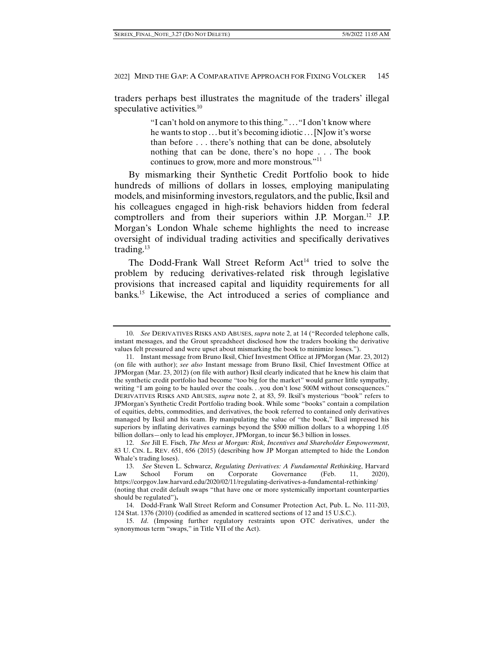traders perhaps best illustrates the magnitude of the traders' illegal speculative activities.<sup>10</sup>

> "I can't hold on anymore to this thing." . . . "I don't know where he wants to stop  $\dots$  but it's becoming idiotic  $\dots$  [N]ow it's worse than before . . . there's nothing that can be done, absolutely nothing that can be done, there's no hope . . . The book continues to grow, more and more monstrous."<sup>11</sup>

By mismarking their Synthetic Credit Portfolio book to hide hundreds of millions of dollars in losses, employing manipulating models, and misinforming investors, regulators, and the public, Iksil and his colleagues engaged in high-risk behaviors hidden from federal comptrollers and from their superiors within J.P. Morgan.<sup>12</sup> J.P. Morgan's London Whale scheme highlights the need to increase oversight of individual trading activities and specifically derivatives trading. $13$ 

The Dodd-Frank Wall Street Reform Act<sup>14</sup> tried to solve the problem by reducing derivatives-related risk through legislative provisions that increased capital and liquidity requirements for all banks.15 Likewise, the Act introduced a series of compliance and

 <sup>10.</sup> *See* DERIVATIVES RISKS AND ABUSES, *supra* note 2, at 14 ("Recorded telephone calls, instant messages, and the Grout spreadsheet disclosed how the traders booking the derivative values felt pressured and were upset about mismarking the book to minimize losses.").

 <sup>11.</sup> Instant message from Bruno Iksil, Chief Investment Office at JPMorgan (Mar. 23, 2012) (on file with author); *see also* Instant message from Bruno Iksil, Chief Investment Office at JPMorgan (Mar. 23, 2012) (on file with author) Iksil clearly indicated that he knew his claim that the synthetic credit portfolio had become "too big for the market" would garner little sympathy, writing "I am going to be hauled over the coals...you don't lose 500M without consequences." DERIVATIVES RISKS AND ABUSES, *supra* note 2, at 83, 59. Iksil's mysterious "book" refers to JPMorgan's Synthetic Credit Portfolio trading book. While some "books" contain a compilation of equities, debts, commodities, and derivatives, the book referred to contained only derivatives managed by Iksil and his team. By manipulating the value of "the book," Iksil impressed his superiors by inflating derivatives earnings beyond the \$500 million dollars to a whopping 1.05 billion dollars—only to lead his employer, JPMorgan, to incur \$6.3 billion in losses.

 <sup>12.</sup> *See* Jill E. Fisch, *The Mess at Morgan: Risk, Incentives and Shareholder Empowerment*, 83 U. CIN. L. REV. 651, 656 (2015) (describing how JP Morgan attempted to hide the London Whale's trading loses).

 <sup>13.</sup> *See* Steven L. Schwarcz, *Regulating Derivatives: A Fundamental Rethinking*, Harvard Law School Forum on Corporate Governance (Feb. 11, 2020), https://corpgov.law.harvard.edu/2020/02/11/regulating-derivatives-a-fundamental-rethinking/ (noting that credit default swaps "that have one or more systemically important counterparties should be regulated")**.**

 <sup>14.</sup> Dodd-Frank Wall Street Reform and Consumer Protection Act, Pub. L. No. 111-203, 124 Stat. 1376 (2010) (codified as amended in scattered sections of 12 and 15 U.S.C.).

 <sup>15.</sup> *Id*. (Imposing further regulatory restraints upon OTC derivatives, under the synonymous term "swaps," in Title VII of the Act).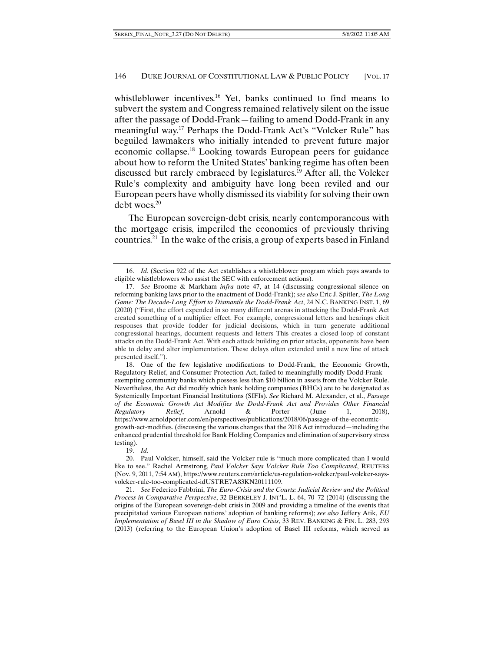whistleblower incentives.<sup>16</sup> Yet, banks continued to find means to subvert the system and Congress remained relatively silent on the issue after the passage of Dodd-Frank—failing to amend Dodd-Frank in any meaningful way.17 Perhaps the Dodd-Frank Act's "Volcker Rule" has beguiled lawmakers who initially intended to prevent future major economic collapse.18 Looking towards European peers for guidance about how to reform the United States' banking regime has often been discussed but rarely embraced by legislatures.<sup>19</sup> After all, the Volcker Rule's complexity and ambiguity have long been reviled and our European peers have wholly dismissed its viability for solving their own debt woes.<sup>20</sup>

The European sovereign-debt crisis, nearly contemporaneous with the mortgage crisis, imperiled the economies of previously thriving countries.21 In the wake of the crisis, a group of experts based in Finland

19. *Id*.

 <sup>16.</sup> *Id*. (Section 922 of the Act establishes a whistleblower program which pays awards to eligible whistleblowers who assist the SEC with enforcement actions).

 <sup>17.</sup> *See* Broome & Markham *infra* note 47, at 14 (discussing congressional silence on reforming banking laws prior to the enactment of Dodd-Frank); *see also* Eric J. Spitler, *The Long Game: The Decade-Long Effort to Dismantle the Dodd-Frank Act*, 24 N.C. BANKING INST. 1, 69 (2020) ("First, the effort expended in so many different arenas in attacking the Dodd-Frank Act created something of a multiplier effect. For example, congressional letters and hearings elicit responses that provide fodder for judicial decisions, which in turn generate additional congressional hearings, document requests and letters This creates a closed loop of constant attacks on the Dodd-Frank Act. With each attack building on prior attacks, opponents have been able to delay and alter implementation. These delays often extended until a new line of attack presented itself.").

 <sup>18.</sup> One of the few legislative modifications to Dodd-Frank, the Economic Growth, Regulatory Relief, and Consumer Protection Act, failed to meaningfully modify Dodd-Frank exempting community banks which possess less than \$10 billion in assets from the Volcker Rule. Nevertheless, the Act did modify which bank holding companies (BHCs) are to be designated as Systemically Important Financial Institutions (SIFIs). *See* Richard M. Alexander, et al., *Passage of the Economic Growth Act Modifies the Dodd-Frank Act and Provides Other Financial Regulatory Relief*, Arnold & Porter (June 1, 2018), https://www.arnoldporter.com/en/perspectives/publications/2018/06/passage-of-the-economicgrowth-act-modifies. (discussing the various changes that the 2018 Act introduced—including the enhanced prudential threshold for Bank Holding Companies and elimination of supervisory stress testing).

 <sup>20.</sup> Paul Volcker, himself, said the Volcker rule is "much more complicated than I would like to see." Rachel Armstrong, *Paul Volcker Says Volcker Rule Too Complicated*, REUTERS (Nov. 9, 2011, 7:54 AM), https://www.reuters.com/article/us-regulation-volcker/paul-volcker-saysvolcker-rule-too-complicated-idUSTRE7A83KN20111109.

 <sup>21.</sup> *See* Federico Fabbrini, *The Euro-Crisis and the Courts: Judicial Review and the Political Process in Comparative Perspective*, 32 BERKELEY J. INT'L. L. 64, 70–72 (2014) (discussing the origins of the European sovereign-debt crisis in 2009 and providing a timeline of the events that precipitated various European nations' adoption of banking reforms); *see also* Jeffery Atik, *EU Implementation of Basel III in the Shadow of Euro Crisis*, 33 REV. BANKING & FIN. L. 283, 293 (2013) (referring to the European Union's adoption of Basel III reforms, which served as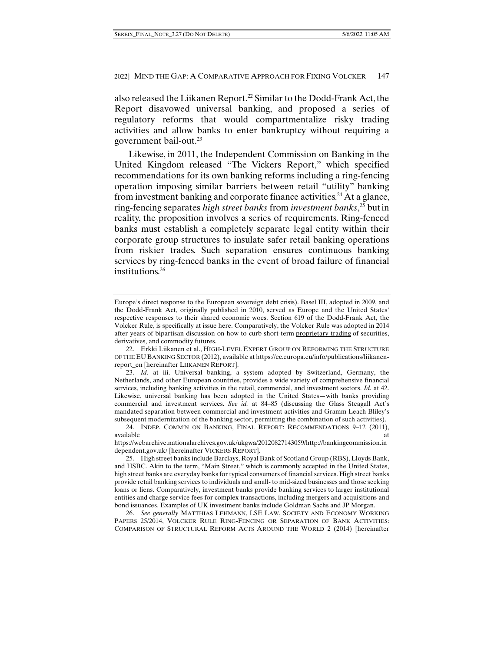also released the Liikanen Report.22 Similar to the Dodd-Frank Act, the Report disavowed universal banking, and proposed a series of regulatory reforms that would compartmentalize risky trading activities and allow banks to enter bankruptcy without requiring a government bail-out.23

Likewise, in 2011, the Independent Commission on Banking in the United Kingdom released "The Vickers Report," which specified recommendations for its own banking reforms including a ring-fencing operation imposing similar barriers between retail "utility" banking from investment banking and corporate finance activities.<sup>24</sup> At a glance, ring-fencing separates *high street banks* from *investment banks*, 25 butin reality, the proposition involves a series of requirements. Ring-fenced banks must establish a completely separate legal entity within their corporate group structures to insulate safer retail banking operations from riskier trades. Such separation ensures continuous banking services by ring-fenced banks in the event of broad failure of financial institutions.<sup>26</sup>

 24. INDEP. COMM'N ON BANKING, FINAL REPORT: RECOMMENDATIONS 9–12 (2011), available at the state of the state at the state at the state at the state at the state at the state at the state at the state at the state at the state at the state at the state at the state at the state at the state at t

 26. *See generally* MATTHIAS LEHMANN, LSE LAW, SOCIETY AND ECONOMY WORKING PAPERS 25/2014, VOLCKER RULE RING-FENCING OR SEPARATION OF BANK ACTIVITIES: COMPARISON OF STRUCTURAL REFORM ACTS AROUND THE WORLD 2 (2014) [hereinafter

Europe's direct response to the European sovereign debt crisis). Basel III, adopted in 2009, and the Dodd-Frank Act, originally published in 2010, served as Europe and the United States' respective responses to their shared economic woes. Section 619 of the Dodd-Frank Act, the Volcker Rule, is specifically at issue here. Comparatively, the Volcker Rule was adopted in 2014 after years of bipartisan discussion on how to curb short-term proprietary trading of securities, derivatives, and commodity futures.

 <sup>22.</sup> Erkki Liikanen et al., HIGH-LEVEL EXPERT GROUP ON REFORMING THE STRUCTURE OF THE EU BANKING SECTOR (2012), available at https://ec.europa.eu/info/publications/liikanenreport\_en [hereinafter LIIKANEN REPORT].

 <sup>23.</sup> *Id.* at iii. Universal banking, a system adopted by Switzerland, Germany, the Netherlands, and other European countries, provides a wide variety of comprehensive financial services, including banking activities in the retail, commercial, and investment sectors. *Id.* at 42. Likewise, universal banking has been adopted in the United States—with banks providing commercial and investment services. *See id.* at 84–85 (discussing the Glass Steagall Act's mandated separation between commercial and investment activities and Gramm Leach Bliley's subsequent modernization of the banking sector, permitting the combination of such activities).

https://webarchive.nationalarchives.gov.uk/ukgwa/20120827143059/http://bankingcommission.in dependent.gov.uk/ [hereinafter VICKERS REPORT].

 <sup>25.</sup> High street banks include Barclays, Royal Bank of Scotland Group (RBS), Lloyds Bank, and HSBC. Akin to the term, "Main Street," which is commonly accepted in the United States, high street banks are everyday banks for typical consumers of financial services. High street banks provide retail banking services to individuals and small- to mid-sized businesses and those seeking loans or liens. Comparatively, investment banks provide banking services to larger institutional entities and charge service fees for complex transactions, including mergers and acquisitions and bond issuances. Examples of UK investment banks include Goldman Sachs and JP Morgan.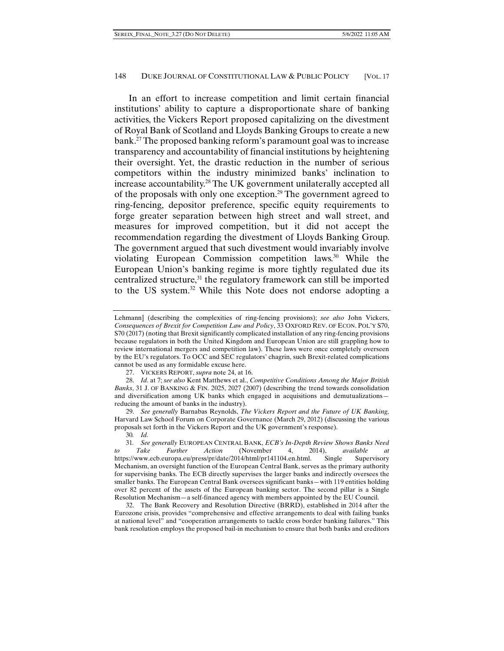In an effort to increase competition and limit certain financial institutions' ability to capture a disproportionate share of banking activities, the Vickers Report proposed capitalizing on the divestment of Royal Bank of Scotland and Lloyds Banking Groups to create a new bank.<sup>27</sup> The proposed banking reform's paramount goal was to increase transparency and accountability of financial institutions by heightening their oversight. Yet, the drastic reduction in the number of serious competitors within the industry minimized banks' inclination to increase accountability.28 The UK government unilaterally accepted all of the proposals with only one exception.29 The government agreed to ring-fencing, depositor preference, specific equity requirements to forge greater separation between high street and wall street, and measures for improved competition, but it did not accept the recommendation regarding the divestment of Lloyds Banking Group. The government argued that such divestment would invariably involve violating European Commission competition laws.<sup>30</sup> While the European Union's banking regime is more tightly regulated due its centralized structure,<sup>31</sup> the regulatory framework can still be imported to the US system.32 While this Note does not endorse adopting a

 29. *See generally* Barnabas Reynolds, *The Vickers Report and the Future of UK Banking,*  Harvard Law School Forum on Corporate Governance (March 29, 2012) (discussing the various proposals set forth in the Vickers Report and the UK government's response).

 32. The Bank Recovery and Resolution Directive (BRRD), established in 2014 after the Eurozone crisis, provides "comprehensive and effective arrangements to deal with failing banks at national level" and "cooperation arrangements to tackle cross border banking failures." This bank resolution employs the proposed bail-in mechanism to ensure that both banks and creditors

Lehmann] (describing the complexities of ring-fencing provisions); *see also* John Vickers, *Consequences of Brexit for Competition Law and Policy*, 33 OXFORD REV. OF ECON. POL'Y S70, S70 (2017) (noting that Brexit significantly complicated installation of any ring-fencing provisions because regulators in both the United Kingdom and European Union are still grappling how to review international mergers and competition law). These laws were once completely overseen by the EU's regulators. To OCC and SEC regulators' chagrin, such Brexit-related complications cannot be used as any formidable excuse here.

 <sup>27.</sup> VICKERS REPORT, *supra* note 24, at 16.

 <sup>28.</sup> *Id*. at 7; *see also* Kent Matthews et al., *Competitive Conditions Among the Major British Banks*, 31 J. OF BANKING & FIN. 2025, 2027 (2007) (describing the trend towards consolidation and diversification among UK banks which engaged in acquisitions and demutualizations reducing the amount of banks in the industry).

<sup>30</sup>*. Id.* 

<sup>31</sup>*. See generally* EUROPEAN CENTRAL BANK, *ECB's In-Depth Review Shows Banks Need to Take Further Action* (November 4, 2014), *available at*  https://www.ecb.europa.eu/press/pr/date/2014/html/pr141104.en.html. Single Supervisory Mechanism, an oversight function of the European Central Bank, serves as the primary authority for supervising banks. The ECB directly supervises the larger banks and indirectly oversees the smaller banks. The European Central Bank oversees significant banks—with 119 entities holding over 82 percent of the assets of the European banking sector. The second pillar is a Single Resolution Mechanism—a self-financed agency with members appointed by the EU Council.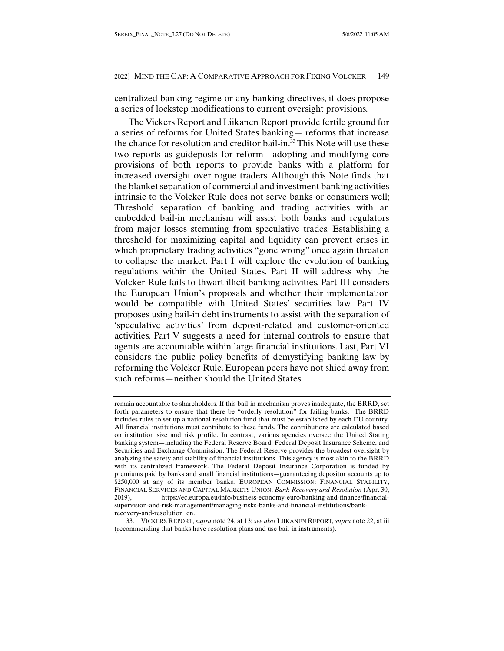centralized banking regime or any banking directives, it does propose a series of lockstep modifications to current oversight provisions.

The Vickers Report and Liikanen Report provide fertile ground for a series of reforms for United States banking— reforms that increase the chance for resolution and creditor bail-in.<sup>33</sup> This Note will use these two reports as guideposts for reform—adopting and modifying core provisions of both reports to provide banks with a platform for increased oversight over rogue traders. Although this Note finds that the blanket separation of commercial and investment banking activities intrinsic to the Volcker Rule does not serve banks or consumers well; Threshold separation of banking and trading activities with an embedded bail-in mechanism will assist both banks and regulators from major losses stemming from speculative trades. Establishing a threshold for maximizing capital and liquidity can prevent crises in which proprietary trading activities "gone wrong" once again threaten to collapse the market. Part I will explore the evolution of banking regulations within the United States. Part II will address why the Volcker Rule fails to thwart illicit banking activities. Part III considers the European Union's proposals and whether their implementation would be compatible with United States' securities law. Part IV proposes using bail-in debt instruments to assist with the separation of 'speculative activities' from deposit-related and customer-oriented activities. Part V suggests a need for internal controls to ensure that agents are accountable within large financial institutions. Last, Part VI considers the public policy benefits of demystifying banking law by reforming the Volcker Rule. European peers have not shied away from such reforms—neither should the United States.

remain accountable to shareholders. If this bail-in mechanism proves inadequate, the BRRD, set forth parameters to ensure that there be "orderly resolution" for failing banks. The BRRD includes rules to set up a national resolution fund that must be established by each EU country. All financial institutions must contribute to these funds. The contributions are calculated based on institution size and risk profile. In contrast, various agencies oversee the United Stating banking system—including the Federal Reserve Board, Federal Deposit Insurance Scheme, and Securities and Exchange Commission. The Federal Reserve provides the broadest oversight by analyzing the safety and stability of financial institutions. This agency is most akin to the BRRD with its centralized framework. The Federal Deposit Insurance Corporation is funded by premiums paid by banks and small financial institutions—guaranteeing depositor accounts up to \$250,000 at any of its member banks. EUROPEAN COMMISSION: FINANCIAL STABILITY, FINANCIAL SERVICES AND CAPITAL MARKETS UNION, *Bank Recovery and Resolution* (Apr. 30, 2019), https://ec.europa.eu/info/business-economy-euro/banking-and-finance/financialsupervision-and-risk-management/managing-risks-banks-and-financial-institutions/bankrecovery-and-resolution\_en.

 <sup>33.</sup> VICKERS REPORT,*supra* note 24, at 13; *see also* LIIKANEN REPORT*, supra* note 22, at iii (recommending that banks have resolution plans and use bail-in instruments).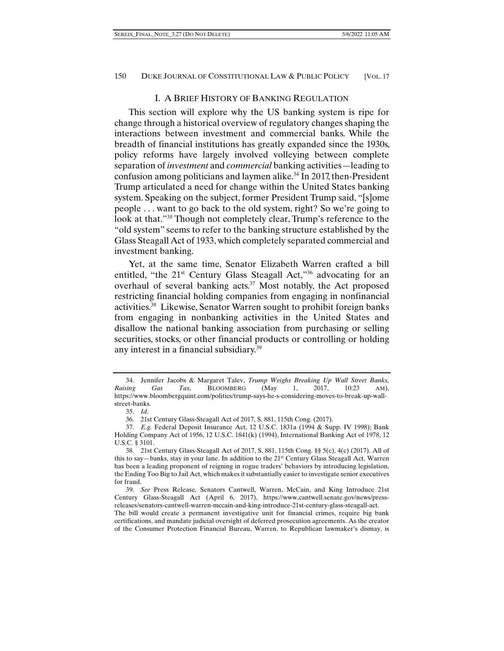#### I. A BRIEF HISTORY OF BANKING REGULATION

This section will explore why the US banking system is ripe for change through a historical overview of regulatory changes shaping the interactions between investment and commercial banks. While the breadth of financial institutions has greatly expanded since the 1930s, policy reforms have largely involved volleying between complete separation of *investment* and *commercial* banking activities—leading to confusion among politicians and laymen alike.<sup>34</sup> In 2017, then-President Trump articulated a need for change within the United States banking system. Speaking on the subject, former President Trump said, "[s]ome people . . . want to go back to the old system, right? So we're going to look at that."<sup>35</sup> Though not completely clear, Trump's reference to the "old system" seems to refer to the banking structure established by the Glass Steagall Act of 1933, which completely separated commercial and investment banking.

Yet, at the same time, Senator Elizabeth Warren crafted a bill entitled, "the 21<sup>st</sup> Century Glass Steagall Act,"<sup>36</sup> advocating for an overhaul of several banking acts.<sup>37</sup> Most notably, the Act proposed restricting financial holding companies from engaging in nonfinancial activities.38 Likewise, Senator Warren sought to prohibit foreign banks from engaging in nonbanking activities in the United States and disallow the national banking association from purchasing or selling securities, stocks, or other financial products or controlling or holding any interest in a financial subsidiary.39

 <sup>34.</sup> Jennifer Jacobs & Margaret Talev, *Trump Weighs Breaking Up Wall Street Banks, Raising Gas Tax,* BLOOMBERG (May 1, 2017, 10:23 AM), https://www.bloombergquint.com/politics/trump-says-he-s-considering-moves-to-break-up-wallstreet-banks.

 <sup>35.</sup> *Id*.

 <sup>36. 21</sup>st Century Glass-Steagall Act of 2017, S. 881, 115th Cong. (2017).

 <sup>37.</sup> *E.g.* Federal Deposit Insurance Act, 12 U.S.C. 1831a (1994 & Supp. IV 1998); Bank Holding Company Act of 1956, 12 U.S.C. 1841(k) (1994), International Banking Act of 1978, 12 U.S.C. § 3101.

 <sup>38. 21</sup>st Century Glass-Steagall Act of 2017, S. 881, 115th Cong. §§ 5(c), 4(c) (2017). All of this to say—banks, stay in your lane. In addition to the 21st Century Glass Steagall Act, Warren has been a leading proponent of reigning in rogue traders' behaviors by introducing legislation, the Ending Too Big to Jail Act, which makes it substantially easier to investigate senior executives for fraud.

 <sup>39.</sup> *See* Press Release*,* Senators Cantwell, Warren, McCain, and King Introduce 21st Century Glass-Steagall Act (April 6, 2017), https://www.cantwell.senate.gov/news/pressreleases/senators-cantwell-warren-mccain-and-king-introduce-21st-century-glass-steagall-act.

The bill would create a permanent investigative unit for financial crimes, require big bank certifications, and mandate judicial oversight of deferred prosecution agreements. As the creator of the Consumer Protection Financial Bureau, Warren, to Republican lawmaker's dismay, is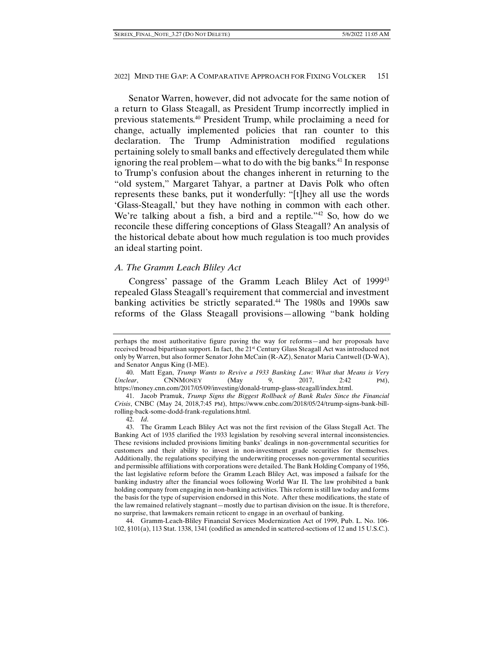Senator Warren, however, did not advocate for the same notion of a return to Glass Steagall, as President Trump incorrectly implied in previous statements.40 President Trump, while proclaiming a need for change, actually implemented policies that ran counter to this declaration. The Trump Administration modified regulations pertaining solely to small banks and effectively deregulated them while ignoring the real problem—what to do with the big banks.<sup>41</sup> In response to Trump's confusion about the changes inherent in returning to the "old system," Margaret Tahyar, a partner at Davis Polk who often represents these banks, put it wonderfully: "[t]hey all use the words 'Glass-Steagall,' but they have nothing in common with each other. We're talking about a fish, a bird and a reptile."<sup>42</sup> So, how do we reconcile these differing conceptions of Glass Steagall? An analysis of the historical debate about how much regulation is too much provides an ideal starting point.

#### *A. The Gramm Leach Bliley Act*

Congress' passage of the Gramm Leach Bliley Act of 1999<sup>43</sup> repealed Glass Steagall's requirement that commercial and investment banking activities be strictly separated.44 The 1980s and 1990s saw reforms of the Glass Steagall provisions—allowing "bank holding

 44. Gramm-Leach-Bliley Financial Services Modernization Act of 1999, Pub. L. No. 106- 102, §101(a), 113 Stat. 1338, 1341 (codified as amended in scattered-sections of 12 and 15 U.S.C.).

perhaps the most authoritative figure paving the way for reforms—and her proposals have received broad bipartisan support. In fact, the 21st Century Glass Steagall Act was introduced not only by Warren, but also former Senator John McCain (R-AZ), Senator Maria Cantwell (D-WA), and Senator Angus King (I-ME).

 <sup>40.</sup> Matt Egan, *Trump Wants to Revive a 1933 Banking Law: What that Means is Very Unclear*, **CNNMONEY** (May 9, 2017, 2:42 PM), https://money.cnn.com/2017/05/09/investing/donald-trump-glass-steagall/index.html.

 <sup>41.</sup> Jacob Pramuk, *Trump Signs the Biggest Rollback of Bank Rules Since the Financial Crisis*, CNBC (May 24, 2018,7:45 PM), https://www.cnbc.com/2018/05/24/trump-signs-bank-billrolling-back-some-dodd-frank-regulations.html.

 <sup>42.</sup> *Id*.

 <sup>43.</sup> The Gramm Leach Bliley Act was not the first revision of the Glass Stegall Act. The Banking Act of 1935 clarified the 1933 legislation by resolving several internal inconsistencies. These revisions included provisions limiting banks' dealings in non-governmental securities for customers and their ability to invest in non-investment grade securities for themselves. Additionally, the regulations specifying the underwriting processes non-governmental securities and permissible affiliations with corporations were detailed. The Bank Holding Company of 1956, the last legislative reform before the Gramm Leach Bliley Act, was imposed a failsafe for the banking industry after the financial woes following World War II. The law prohibited a bank holding company from engaging in non-banking activities. This reform is still law today and forms the basis for the type of supervision endorsed in this Note. After these modifications, the state of the law remained relatively stagnant—mostly due to partisan division on the issue. It is therefore, no surprise, that lawmakers remain reticent to engage in an overhaul of banking.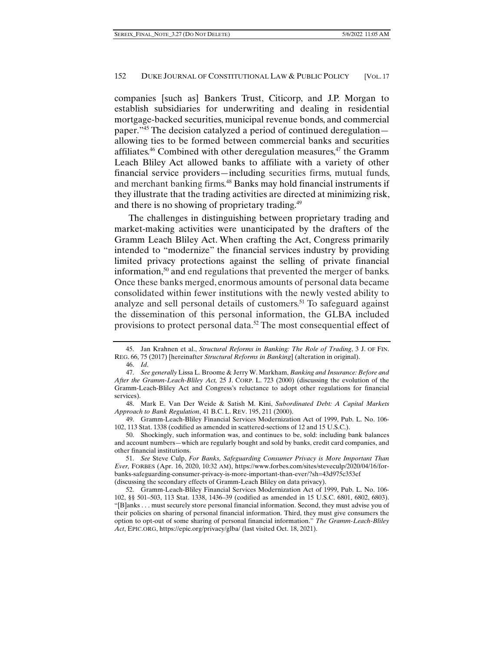companies [such as] Bankers Trust, Citicorp, and J.P. Morgan to establish subsidiaries for underwriting and dealing in residential mortgage-backed securities, municipal revenue bonds, and commercial paper."45 The decision catalyzed a period of continued deregulation allowing ties to be formed between commercial banks and securities affiliates.<sup>46</sup> Combined with other deregulation measures,<sup>47</sup> the Gramm Leach Bliley Act allowed banks to affiliate with a variety of other financial service providers—including securities firms, mutual funds, and merchant banking firms. 48 Banks may hold financial instruments if they illustrate that the trading activities are directed at minimizing risk, and there is no showing of proprietary trading.<sup>49</sup>

The challenges in distinguishing between proprietary trading and market-making activities were unanticipated by the drafters of the Gramm Leach Bliley Act. When crafting the Act, Congress primarily intended to "modernize" the financial services industry by providing limited privacy protections against the selling of private financial information,<sup>50</sup> and end regulations that prevented the merger of banks. Once these banks merged, enormous amounts of personal data became consolidated within fewer institutions with the newly vested ability to analyze and sell personal details of customers.<sup>51</sup> To safeguard against the dissemination of this personal information, the GLBA included provisions to protect personal data.<sup>52</sup> The most consequential effect of

 49. Gramm-Leach-Bliley Financial Services Modernization Act of 1999, Pub. L. No. 106- 102, 113 Stat. 1338 (codified as amended in scattered-sections of 12 and 15 U.S.C.).

 51. *See* Steve Culp, *For Banks, Safeguarding Consumer Privacy is More Important Than Ever,* FORBES (Apr. 16, 2020, 10:32 AM), https://www.forbes.com/sites/steveculp/2020/04/16/forbanks-safeguarding-consumer-privacy-is-more-important-than-ever/?sh=43d975c353ef (discussing the secondary effects of Gramm-Leach Bliley on data privacy).

 <sup>45.</sup> Jan Krahnen et al., *Structural Reforms in Banking: The Role of Trading*, 3 J. OF FIN. REG. 66, 75 (2017) [hereinafter *Structural Reforms in Banking*] (alteration in original).

 <sup>46.</sup> *Id*.

 <sup>47.</sup> *See generally* Lissa L. Broome & Jerry W. Markham, *Banking and Insurance: Before and After the Gramm-Leach-Bliley Act,* 25 J. CORP. L. 723 (2000) (discussing the evolution of the Gramm-Leach-Bliley Act and Congress's reluctance to adopt other regulations for financial services).

 <sup>48.</sup> Mark E. Van Der Weide & Satish M. Kini, *Subordinated Debt: A Capital Markets Approach to Bank Regulation*, 41 B.C. L. REV. 195, 211 (2000).

 <sup>50.</sup> Shockingly, such information was, and continues to be, sold: including bank balances and account numbers—which are regularly bought and sold by banks, credit card companies, and other financial institutions.

 <sup>52.</sup> Gramm-Leach-Bliley Financial Services Modernization Act of 1999, Pub. L. No. 106- 102, §§ 501–503, 113 Stat. 1338, 1436–39 (codified as amended in 15 U.S.C. 6801, 6802, 6803). "[B]anks . . . must securely store personal financial information. Second, they must advise you of their policies on sharing of personal financial information. Third, they must give consumers the option to opt-out of some sharing of personal financial information." *The Gramm-Leach-Bliley Act*, EPIC.ORG, https://epic.org/privacy/glba/ (last visited Oct. 18, 2021).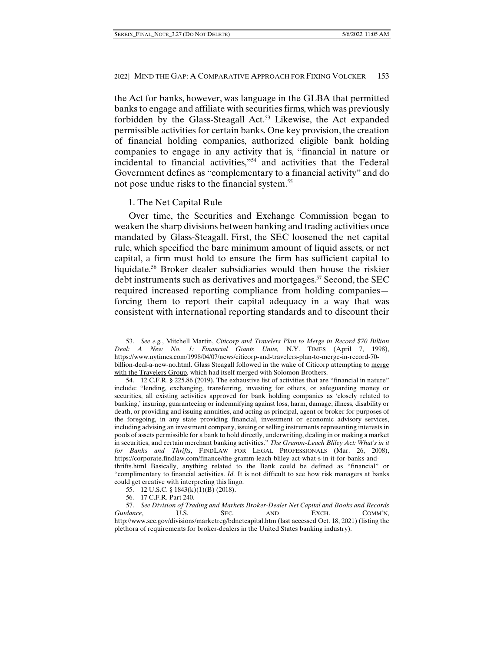the Act for banks, however, was language in the GLBA that permitted banks to engage and affiliate with securities firms, which was previously forbidden by the Glass-Steagall Act.<sup>53</sup> Likewise, the Act expanded permissible activities for certain banks. One key provision, the creation of financial holding companies, authorized eligible bank holding companies to engage in any activity that is, "financial in nature or incidental to financial activities,"54 and activities that the Federal Government defines as "complementary to a financial activity" and do not pose undue risks to the financial system.<sup>55</sup>

#### 1. The Net Capital Rule

Over time, the Securities and Exchange Commission began to weaken the sharp divisions between banking and trading activities once mandated by Glass-Steagall. First, the SEC loosened the net capital rule, which specified the bare minimum amount of liquid assets, or net capital, a firm must hold to ensure the firm has sufficient capital to liquidate.56 Broker dealer subsidiaries would then house the riskier debt instruments such as derivatives and mortgages.<sup>57</sup> Second, the SEC required increased reporting compliance from holding companies forcing them to report their capital adequacy in a way that was consistent with international reporting standards and to discount their

 <sup>53.</sup> *See e.g.*, Mitchell Martin, *Citicorp and Travelers Plan to Merge in Record \$70 Billion Deal: A New No. 1: Financial Giants Unite,* N.Y. TIMES (April 7, 1998), https://www.nytimes.com/1998/04/07/news/citicorp-and-travelers-plan-to-merge-in-record-70 billion-deal-a-new-no.html. Glass Steagall followed in the wake of Citicorp attempting to merge with the Travelers Group, which had itself merged with Solomon Brothers.

 <sup>54. 12</sup> C.F.R. § 225.86 (2019). The exhaustive list of activities that are "financial in nature" include: "lending, exchanging, transferring, investing for others, or safeguarding money or securities, all existing activities approved for bank holding companies as 'closely related to banking,' insuring, guaranteeing or indemnifying against loss, harm, damage, illness, disability or death, or providing and issuing annuities, and acting as principal, agent or broker for purposes of the foregoing, in any state providing financial, investment or economic advisory services, including advising an investment company, issuing or selling instruments representing interests in pools of assets permissible for a bank to hold directly, underwriting, dealing in or making a market in securities, and certain merchant banking activities." *The Gramm-Leach Bliley Act: What's in it for Banks and Thrifts*, FINDLAW FOR LEGAL PROFESSIONALS (Mar. 26, 2008), https://corporate.findlaw.com/finance/the-gramm-leach-bliley-act-what-s-in-it-for-banks-andthrifts.html Basically, anything related to the Bank could be defined as "financial" or "complimentary to financial activities. *Id.* It is not difficult to see how risk managers at banks could get creative with interpreting this lingo.

 <sup>55. 12</sup> U.S.C. § 1843(k)(1)(B) (2018).

 <sup>56. 17</sup> C.F.R. Part 240.

 <sup>57.</sup> *See Division of Trading and Markets Broker-Dealer Net Capital and Books and Records Guidance*, U.S. SEC. AND EXCH. COMM'N, http://www.sec.gov/divisions/marketreg/bdnetcapital.htm (last accessed Oct. 18, 2021) (listing the plethora of requirements for broker-dealers in the United States banking industry).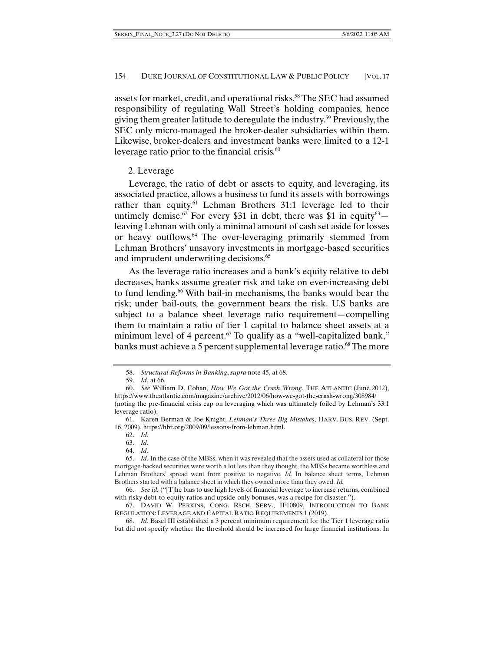assets for market, credit, and operational risks.58 The SEC had assumed responsibility of regulating Wall Street's holding companies, hence giving them greater latitude to deregulate the industry.59 Previously, the SEC only micro-managed the broker-dealer subsidiaries within them. Likewise, broker-dealers and investment banks were limited to a 12-1 leverage ratio prior to the financial crisis. $60$ 

#### 2. Leverage

Leverage, the ratio of debt or assets to equity, and leveraging, its associated practice, allows a business to fund its assets with borrowings rather than equity.61 Lehman Brothers 31:1 leverage led to their untimely demise.<sup>62</sup> For every \$31 in debt, there was \$1 in equity<sup>63</sup>leaving Lehman with only a minimal amount of cash set aside for losses or heavy outflows.64 The over-leveraging primarily stemmed from Lehman Brothers' unsavory investments in mortgage-based securities and imprudent underwriting decisions.<sup>65</sup>

As the leverage ratio increases and a bank's equity relative to debt decreases, banks assume greater risk and take on ever-increasing debt to fund lending.<sup>66</sup> With bail-in mechanisms, the banks would bear the risk; under bail-outs, the government bears the risk. U.S banks are subject to a balance sheet leverage ratio requirement—compelling them to maintain a ratio of tier 1 capital to balance sheet assets at a minimum level of 4 percent.<sup>67</sup> To qualify as a "well-capitalized bank," banks must achieve a 5 percent supplemental leverage ratio.<sup>68</sup> The more

 <sup>58.</sup> *Structural Reforms in Banking*, *supra* note 45, at 68.

 <sup>59.</sup> *Id.* at 66.

 <sup>60.</sup> *See* William D. Cohan, *How We Got the Crash Wrong*, THE ATLANTIC (June 2012), https://www.theatlantic.com/magazine/archive/2012/06/how-we-got-the-crash-wrong/308984/ (noting the pre-financial crisis cap on leveraging which was ultimately foiled by Lehman's 33:1 leverage ratio).

 <sup>61.</sup> Karen Berman & Joe Knight, *Lehman's Three Big Mistakes*, HARV. BUS. REV. (Sept. 16, 2009), https://hbr.org/2009/09/lessons-from-lehman.html.

 <sup>62.</sup> *Id.* 

 <sup>63.</sup> *Id.* 

 <sup>64.</sup> *Id.* 

 <sup>65.</sup> *Id.* In the case of the MBSs, when it was revealed that the assets used as collateral for those mortgage-backed securities were worth a lot less than they thought, the MBSs became worthless and Lehman Brothers' spread went from positive to negative. *Id.* In balance sheet terms, Lehman Brothers started with a balance sheet in which they owned more than they owed. *Id.*

 <sup>66.</sup> *See id.* ("[T]he bias to use high levels of financial leverage to increase returns, combined with risky debt-to-equity ratios and upside-only bonuses, was a recipe for disaster.").

 <sup>67.</sup> DAVID W. PERKINS, CONG. RSCH. SERV., IF10809, INTRODUCTION TO BANK REGULATION: LEVERAGE AND CAPITAL RATIO REQUIREMENTS 1 (2019).

 <sup>68.</sup> *Id.* Basel III established a 3 percent minimum requirement for the Tier 1 leverage ratio but did not specify whether the threshold should be increased for large financial institutions. In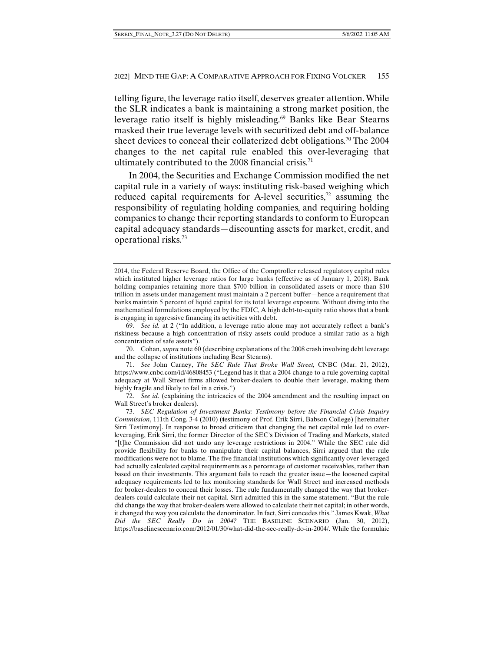telling figure, the leverage ratio itself, deserves greater attention. While the SLR indicates a bank is maintaining a strong market position, the leverage ratio itself is highly misleading.<sup>69</sup> Banks like Bear Stearns masked their true leverage levels with securitized debt and off-balance sheet devices to conceal their collaterized debt obligations.<sup>70</sup> The 2004 changes to the net capital rule enabled this over-leveraging that ultimately contributed to the 2008 financial crisis.<sup>71</sup>

In 2004, the Securities and Exchange Commission modified the net capital rule in a variety of ways: instituting risk-based weighing which reduced capital requirements for A-level securities, $72$  assuming the responsibility of regulating holding companies, and requiring holding companies to change their reporting standards to conform to European capital adequacy standards—discounting assets for market, credit, and operational risks.73

<sup>2014,</sup> the Federal Reserve Board, the Office of the Comptroller released regulatory capital rules which instituted higher leverage ratios for large banks (effective as of January 1, 2018). Bank holding companies retaining more than \$700 billion in consolidated assets or more than \$10 trillion in assets under management must maintain a 2 percent buffer—hence a requirement that banks maintain 5 percent of liquid capital for its total leverage exposure. Without diving into the mathematical formulations employed by the FDIC, A high debt-to-equity ratio shows that a bank is engaging in aggressive financing its activities with debt.

 <sup>69.</sup> *See id.* at 2 ("In addition, a leverage ratio alone may not accurately reflect a bank's riskiness because a high concentration of risky assets could produce a similar ratio as a high concentration of safe assets").

 <sup>70.</sup> Cohan, *supra* note 60 (describing explanations of the 2008 crash involving debt leverage and the collapse of institutions including Bear Stearns).

 <sup>71.</sup> *See* John Carney, *The SEC Rule That Broke Wall Street,* CNBC (Mar. 21, 2012), https://www.cnbc.com/id/46808453 ("Legend has it that a 2004 change to a rule governing capital adequacy at Wall Street firms allowed broker-dealers to double their leverage, making them highly fragile and likely to fail in a crisis.")

 <sup>72.</sup> *See id.* (explaining the intricacies of the 2004 amendment and the resulting impact on Wall Street's broker dealers).

 <sup>73.</sup> *SEC Regulation of Investment Banks: Testimony before the Financial Crisis Inquiry Commission*, 111th Cong. 3-4 (2010) (**t**estimony of Prof. Erik Sirri, Babson College) [hereinafter Sirri Testimony]. In response to broad criticism that changing the net capital rule led to overleveraging, Erik Sirri, the former Director of the SEC's Division of Trading and Markets, stated "[t]he Commission did not undo any leverage restrictions in 2004." While the SEC rule did provide flexibility for banks to manipulate their capital balances, Sirri argued that the rule modifications were not to blame. The five financial institutions which significantly over-leveraged had actually calculated capital requirements as a percentage of customer receivables, rather than based on their investments. This argument fails to reach the greater issue—the loosened capital adequacy requirements led to lax monitoring standards for Wall Street and increased methods for broker-dealers to conceal their losses. The rule fundamentally changed the way that brokerdealers could calculate their net capital. Sirri admitted this in the same statement. "But the rule did change the way that broker-dealers were allowed to calculate their net capital; in other words, it changed the way you calculate the denominator. In fact, Sirri concedes this." James Kwak, *What Did the SEC Really Do in 2004?* THE BASELINE SCENARIO (Jan. 30, 2012), https://baselinescenario.com/2012/01/30/what-did-the-sec-really-do-in-2004/. While the formulaic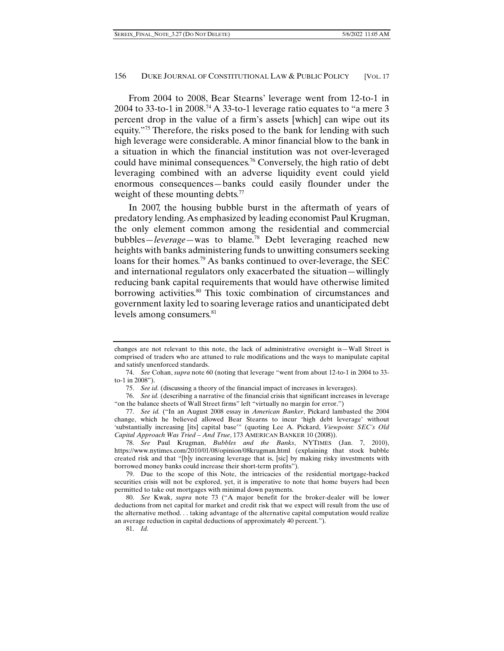From 2004 to 2008, Bear Stearns' leverage went from 12-to-1 in 2004 to 33-to-1 in 2008.<sup>74</sup> A 33-to-1 leverage ratio equates to "a mere 3 percent drop in the value of a firm's assets [which] can wipe out its equity."75 Therefore, the risks posed to the bank for lending with such high leverage were considerable. A minor financial blow to the bank in a situation in which the financial institution was not over-leveraged could have minimal consequences.76 Conversely, the high ratio of debt leveraging combined with an adverse liquidity event could yield enormous consequences—banks could easily flounder under the weight of these mounting debts.<sup>77</sup>

In 2007, the housing bubble burst in the aftermath of years of predatory lending. As emphasized by leading economist Paul Krugman, the only element common among the residential and commercial bubbles—*leverage*—was to blame.78 Debt leveraging reached new heights with banks administering funds to unwitting consumers seeking loans for their homes.<sup>79</sup> As banks continued to over-leverage, the SEC and international regulators only exacerbated the situation—willingly reducing bank capital requirements that would have otherwise limited borrowing activities.<sup>80</sup> This toxic combination of circumstances and government laxity led to soaring leverage ratios and unanticipated debt levels among consumers.<sup>81</sup>

81. *Id.*

changes are not relevant to this note, the lack of administrative oversight is—Wall Street is comprised of traders who are attuned to rule modifications and the ways to manipulate capital and satisfy unenforced standards.

 <sup>74.</sup> *See* Cohan, *supra* note 60 (noting that leverage "went from about 12-to-1 in 2004 to 33 to-1 in 2008").

 <sup>75.</sup> *See id.* (discussing a theory of the financial impact of increases in leverages).

 <sup>76.</sup> *See id.* (describing a narrative of the financial crisis that significant increases in leverage "on the balance sheets of Wall Street firms" left "virtually no margin for error.")

 <sup>77.</sup> *See id.* ("In an August 2008 essay in *American Banker*, Pickard lambasted the 2004 change, which he believed allowed Bear Stearns to incur 'high debt leverage' without 'substantially increasing [its] capital base'" (quoting Lee A. Pickard, *Viewpoint: SEC's Old Capital Approach Was Tried – And True*, 173 AMERICAN BANKER 10 (2008)).

 <sup>78.</sup> *See* Paul Krugman, *Bubbles and the Banks*, NYTIMES (Jan. 7, 2010), https://www.nytimes.com/2010/01/08/opinion/08krugman.html (explaining that stock bubble created risk and that "[b]y increasing leverage that is, [sic] by making risky investments with borrowed money banks could increase their short-term profits").

 <sup>79.</sup> Due to the scope of this Note, the intricacies of the residential mortgage-backed securities crisis will not be explored, yet, it is imperative to note that home buyers had been permitted to take out mortgages with minimal down payments.

 <sup>80.</sup> *See* Kwak, *supra* note 73 ("A major benefit for the broker-dealer will be lower deductions from net capital for market and credit risk that we expect will result from the use of the alternative method. . . taking advantage of the alternative capital computation would realize an average reduction in capital deductions of approximately 40 percent.").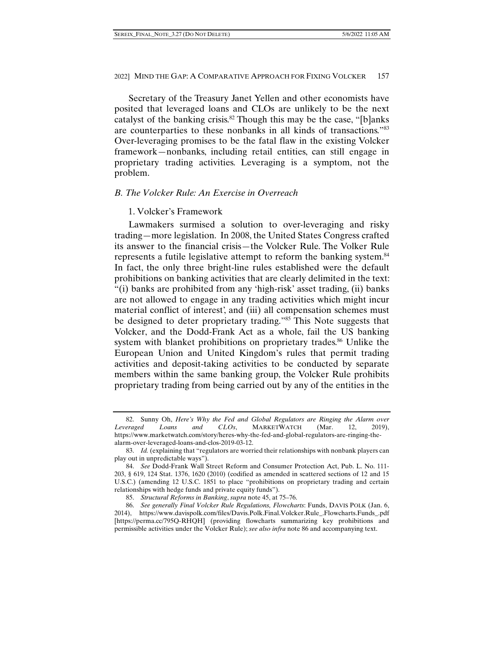Secretary of the Treasury Janet Yellen and other economists have posited that leveraged loans and CLOs are unlikely to be the next catalyst of the banking crisis.<sup>82</sup> Though this may be the case, "[b]anks are counterparties to these nonbanks in all kinds of transactions."83 Over-leveraging promises to be the fatal flaw in the existing Volcker framework—nonbanks, including retail entities, can still engage in proprietary trading activities. Leveraging is a symptom, not the problem.

#### *B. The Volcker Rule: An Exercise in Overreach*

#### 1. Volcker's Framework

Lawmakers surmised a solution to over-leveraging and risky trading—more legislation. In 2008, the United States Congress crafted its answer to the financial crisis—the Volcker Rule. The Volker Rule represents a futile legislative attempt to reform the banking system.<sup>84</sup> In fact, the only three bright-line rules established were the default prohibitions on banking activities that are clearly delimited in the text: "(i) banks are prohibited from any 'high-risk' asset trading, (ii) banks are not allowed to engage in any trading activities which might incur material conflict of interest', and (iii) all compensation schemes must be designed to deter proprietary trading."<sup>85</sup> This Note suggests that Volcker, and the Dodd-Frank Act as a whole, fail the US banking system with blanket prohibitions on proprietary trades.<sup>86</sup> Unlike the European Union and United Kingdom's rules that permit trading activities and deposit-taking activities to be conducted by separate members within the same banking group, the Volcker Rule prohibits proprietary trading from being carried out by any of the entities in the

 <sup>82.</sup> Sunny Oh, *Here's Why the Fed and Global Regulators are Ringing the Alarm over Leveraged Loans and CLOs*, MARKETWATCH (Mar. 12, 2019), https://www.marketwatch.com/story/heres-why-the-fed-and-global-regulators-are-ringing-thealarm-over-leveraged-loans-and-clos-2019-03-12.

 <sup>83.</sup> *Id.* (explaining that "regulators are worried their relationships with nonbank players can play out in unpredictable ways").

 <sup>84.</sup> *See* Dodd-Frank Wall Street Reform and Consumer Protection Act, Pub. L. No. 111- 203, § 619, 124 Stat. 1376, 1620 (2010) (codified as amended in scattered sections of 12 and 15 U.S.C.) (amending 12 U.S.C. 1851 to place "prohibitions on proprietary trading and certain relationships with hedge funds and private equity funds").

 <sup>85.</sup> *Structural Reforms in Banking*, *supra* note 45, at 75–76.

 <sup>86.</sup> *See generally Final Volcker Rule Regulations, Flowcharts*: Funds, DAVIS POLK (Jan. 6, 2014), https://www.davispolk.com/files/Davis.Polk.Final.Volcker.Rule\_.Flowcharts.Funds\_.pdf [https://perma.cc/795Q-RHQH] (providing flowcharts summarizing key prohibitions and permissible activities under the Volcker Rule); *see also infra* note 86 and accompanying text.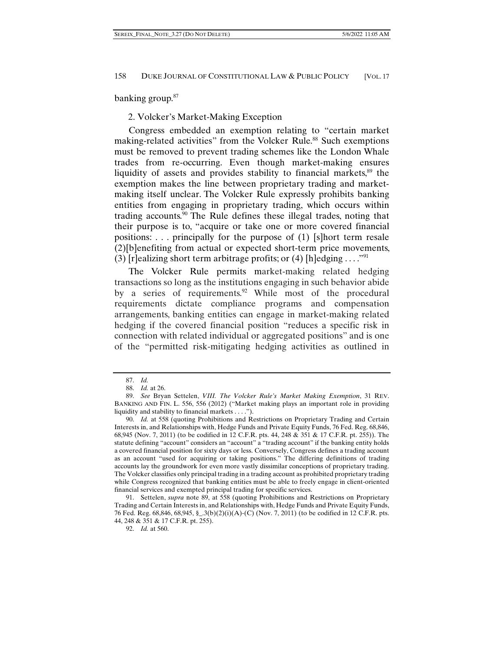banking group.<sup>87</sup>

#### 2. Volcker's Market-Making Exception

Congress embedded an exemption relating to "certain market making-related activities" from the Volcker Rule.<sup>88</sup> Such exemptions must be removed to prevent trading schemes like the London Whale trades from re-occurring. Even though market-making ensures liquidity of assets and provides stability to financial markets, $89$  the exemption makes the line between proprietary trading and marketmaking itself unclear. The Volcker Rule expressly prohibits banking entities from engaging in proprietary trading, which occurs within trading accounts.<sup>90</sup> The Rule defines these illegal trades, noting that their purpose is to, "acquire or take one or more covered financial positions: . . . principally for the purpose of (1) [s]hort term resale (2)[b]enefiting from actual or expected short-term price movements, (3) [r]ealizing short term arbitrage profits; or (4) [h]edging ...."<sup>91</sup>

The Volcker Rule permits market-making related hedging transactions so long as the institutions engaging in such behavior abide by a series of requirements.<sup>92</sup> While most of the procedural requirements dictate compliance programs and compensation arrangements, banking entities can engage in market-making related hedging if the covered financial position "reduces a specific risk in connection with related individual or aggregated positions" and is one of the "permitted risk-mitigating hedging activities as outlined in

 <sup>87.</sup> *Id.* 

 <sup>88.</sup> *Id.* at 26.

 <sup>89.</sup> *See* Bryan Settelen, *VIII. The Volcker Rule's Market Making Exemption*, 31 REV. BANKING AND FIN. L. 556, 556 (2012) ("Market making plays an important role in providing liquidity and stability to financial markets . . . .").

 <sup>90.</sup> *Id.* at 558 (quoting Prohibitions and Restrictions on Proprietary Trading and Certain Interests in, and Relationships with, Hedge Funds and Private Equity Funds, 76 Fed. Reg. 68,846, 68,945 (Nov. 7, 2011) (to be codified in 12 C.F.R. pts. 44, 248 & 351 & 17 C.F.R. pt. 255)). The statute defining "account" considers an "account" a "trading account" if the banking entity holds a covered financial position for sixty days or less. Conversely, Congress defines a trading account as an account "used for acquiring or taking positions." The differing definitions of trading accounts lay the groundwork for even more vastly dissimilar conceptions of proprietary trading. The Volcker classifies only principal trading in a trading account as prohibited proprietary trading while Congress recognized that banking entities must be able to freely engage in client-oriented financial services and exempted principal trading for specific services.

 <sup>91.</sup> Settelen, *supra* note 89, at 558 (quoting Prohibitions and Restrictions on Proprietary Trading and Certain Interests in, and Relationships with, Hedge Funds and Private Equity Funds, 76 Fed. Reg. 68,846, 68,945, §\_.3(b)(2)(i)(A)-(C) (Nov. 7, 2011) (to be codified in 12 C.F.R. pts. 44, 248 & 351 & 17 C.F.R. pt. 255).

 <sup>92.</sup> *Id.* at 560.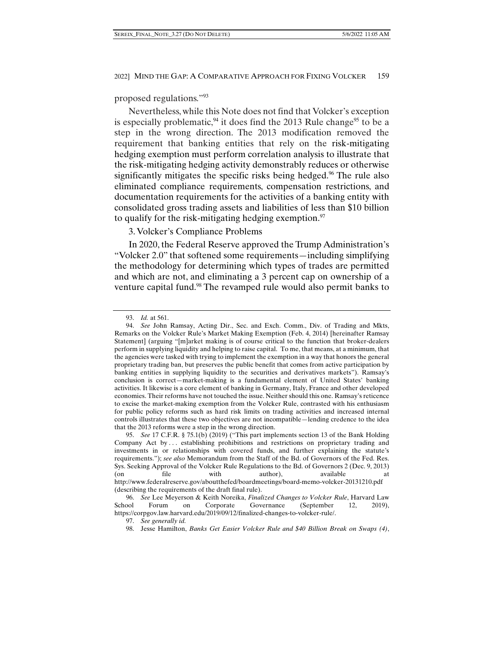proposed regulations."93

Nevertheless, while this Note does not find that Volcker's exception is especially problematic,<sup>94</sup> it does find the 2013 Rule change<sup>95</sup> to be a step in the wrong direction. The 2013 modification removed the requirement that banking entities that rely on the risk-mitigating hedging exemption must perform correlation analysis to illustrate that the risk-mitigating hedging activity demonstrably reduces or otherwise significantly mitigates the specific risks being hedged.<sup>96</sup> The rule also eliminated compliance requirements, compensation restrictions, and documentation requirements for the activities of a banking entity with consolidated gross trading assets and liabilities of less than \$10 billion to qualify for the risk-mitigating hedging exemption. $97$ 

3. Volcker's Compliance Problems

In 2020, the Federal Reserve approved the Trump Administration's "Volcker 2.0" that softened some requirements—including simplifying the methodology for determining which types of trades are permitted and which are not, and eliminating a 3 percent cap on ownership of a venture capital fund.<sup>98</sup> The revamped rule would also permit banks to

 <sup>93.</sup> *Id.* at 561.

 <sup>94.</sup> *See* John Ramsay, Acting Dir., Sec. and Exch. Comm., Div. of Trading and Mkts, Remarks on the Volcker Rule's Market Making Exemption (Feb. 4, 2014) [hereinafter Ramsay Statement] (arguing "[m]arket making is of course critical to the function that broker-dealers perform in supplying liquidity and helping to raise capital. To me, that means, at a minimum, that the agencies were tasked with trying to implement the exemption in a way that honors the general proprietary trading ban, but preserves the public benefit that comes from active participation by banking entities in supplying liquidity to the securities and derivatives markets"). Ramsay's conclusion is correct—market-making is a fundamental element of United States' banking activities. It likewise is a core element of banking in Germany, Italy, France and other developed economies. Their reforms have not touched the issue. Neither should this one. Ramsay's reticence to excise the market-making exemption from the Volcker Rule, contrasted with his enthusiasm for public policy reforms such as hard risk limits on trading activities and increased internal controls illustrates that these two objectives are not incompatible—lending credence to the idea that the 2013 reforms were a step in the wrong direction.

 <sup>95.</sup> *See* 17 C.F.R. § 75.1(b) (2019) ("This part implements section 13 of the Bank Holding Company Act by . . . establishing prohibitions and restrictions on proprietary trading and investments in or relationships with covered funds, and further explaining the statute's requirements."); *see also* Memorandum from the Staff of the Bd. of Governors of the Fed. Res. Sys. Seeking Approval of the Volcker Rule Regulations to the Bd. of Governors 2 (Dec. 9, 2013) (on file with author), available at http://www.federalreserve.gov/aboutthefed/boardmeetings/board-memo-volcker-20131210.pdf (describing the requirements of the draft final rule).

 <sup>96.</sup> *See* Lee Meyerson & Keith Noreika, *Finalized Changes to Volcker Rule*, Harvard Law School Forum on Corporate Governance (September 12, 2019), https://corpgov.law.harvard.edu/2019/09/12/finalized-changes-to-volcker-rule/.

 <sup>97.</sup> *See generally id.*

 <sup>98.</sup> Jesse Hamilton, *Banks Get Easier Volcker Rule and \$40 Billion Break on Swaps (4)*,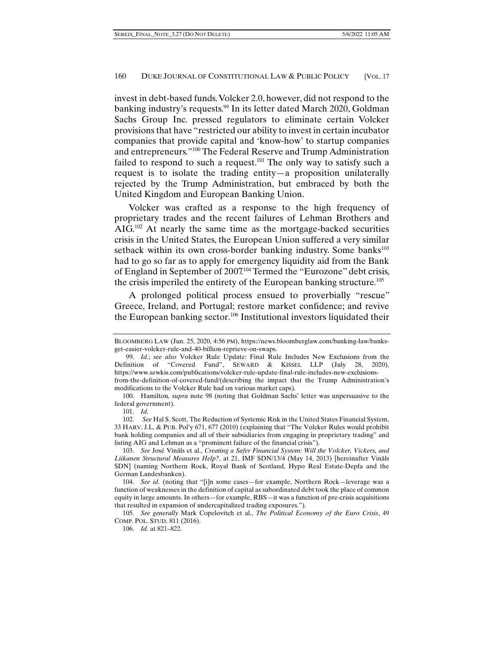invest in debt-based funds. Volcker 2.0, however, did not respond to the banking industry's requests.<sup>99</sup> In its letter dated March 2020, Goldman Sachs Group Inc. pressed regulators to eliminate certain Volcker provisions that have "restricted our ability to invest in certain incubator companies that provide capital and 'know-how' to startup companies and entrepreneurs."100 The Federal Reserve and Trump Administration failed to respond to such a request.101 The only way to satisfy such a request is to isolate the trading entity—a proposition unilaterally rejected by the Trump Administration, but embraced by both the United Kingdom and European Banking Union.

Volcker was crafted as a response to the high frequency of proprietary trades and the recent failures of Lehman Brothers and AIG.<sup>102</sup> At nearly the same time as the mortgage-backed securities crisis in the United States, the European Union suffered a very similar setback within its own cross-border banking industry. Some banks<sup>103</sup> had to go so far as to apply for emergency liquidity aid from the Bank of England in September of 2007.<sup>104</sup> Termed the "Eurozone" debt crisis, the crisis imperiled the entirety of the European banking structure.<sup>105</sup>

A prolonged political process ensued to proverbially "rescue" Greece, Ireland, and Portugal; restore market confidence; and revive the European banking sector.106 Institutional investors liquidated their

101. *Id.*

BLOOMBERG LAW (Jun. 25, 2020, 4:56 PM), https://news.bloomberglaw.com/banking-law/banksget-easier-volcker-rule-and-40-billion-reprieve-on-swaps.

 <sup>99.</sup> *Id*.; *see also* Volcker Rule Update: Final Rule Includes New Exclusions from the Definition of "Covered Fund", SEWARD & KISSEL LLP (July 28, 2020), https://www.sewkis.com/publications/volcker-rule-update-final-rule-includes-new-exclusionsfrom-the-definition-of-covered-fund/(describing the impact that the Trump Administration's modifications to the Volcker Rule had on various market caps).

 <sup>100.</sup> Hamilton*, supra* note 98 (noting that Goldman Sachs' letter was unpersuasive to the federal government).

 <sup>102.</sup> *See* Hal S. Scott, The Reduction of Systemic Risk in the United States Financial System, 33 HARV. J.L. & PUB. Pol'y 671, 677 (2010) (explaining that "The Volcker Rules would prohibit bank holding companies and all of their subsidiaries from engaging in proprietary trading" and listing AIG and Lehman as a "prominent failure of the financial crisis").

 <sup>103.</sup> *See* José Vinãls et al., *Creating a Safer Financial System: Will the Volcker, Vickers, and Liikanen Structural Measures Help?*, at 21, IMF SDN/13/4 (May 14, 2013) [hereinafter Vinãls SDN] (naming Northern Rock, Royal Bank of Scotland, Hypo Real Estate-Depfa and the German Landesbanken).

 <sup>104.</sup> *See id.* (noting that "[i]n some cases—for example, Northern Rock—leverage was a function of weaknesses in the definition of capital as subordinated debt took the place of common equity in large amounts. In others—for example, RBS—it was a function of pre-crisis acquisitions that resulted in expansion of undercapitalized trading exposures.").

 <sup>105.</sup> *See generally* Mark Copelovitch et al., *The Political Economy of the Euro Crisis*, 49 COMP. POL. STUD. 811 (2016).

 <sup>106.</sup> *Id.* at 821–822.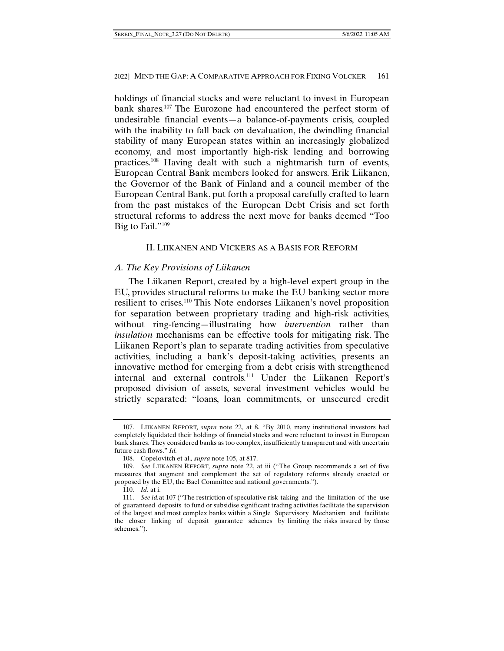holdings of financial stocks and were reluctant to invest in European bank shares.107 The Eurozone had encountered the perfect storm of undesirable financial events—a balance-of-payments crisis, coupled with the inability to fall back on devaluation, the dwindling financial stability of many European states within an increasingly globalized economy, and most importantly high-risk lending and borrowing practices.108 Having dealt with such a nightmarish turn of events, European Central Bank members looked for answers. Erik Liikanen, the Governor of the Bank of Finland and a council member of the European Central Bank, put forth a proposal carefully crafted to learn from the past mistakes of the European Debt Crisis and set forth structural reforms to address the next move for banks deemed "Too Big to Fail."<sup>109</sup>

#### II. LIIKANEN AND VICKERS AS A BASIS FOR REFORM

#### *A. The Key Provisions of Liikanen*

The Liikanen Report, created by a high-level expert group in the EU, provides structural reforms to make the EU banking sector more resilient to crises.110 This Note endorses Liikanen's novel proposition for separation between proprietary trading and high-risk activities, without ring-fencing—illustrating how *intervention* rather than *insulation* mechanisms can be effective tools for mitigating risk. The Liikanen Report's plan to separate trading activities from speculative activities, including a bank's deposit-taking activities, presents an innovative method for emerging from a debt crisis with strengthened internal and external controls.111 Under the Liikanen Report's proposed division of assets, several investment vehicles would be strictly separated: "loans, loan commitments, or unsecured credit

 <sup>107.</sup> LIIKANEN REPORT*, supra* note 22, at 8. "By 2010, many institutional investors had completely liquidated their holdings of financial stocks and were reluctant to invest in European bank shares. They considered banks as too complex, insufficiently transparent and with uncertain future cash flows." *Id.*

 <sup>108.</sup> Copelovitch et al.*, supra* note 105, at 817.

 <sup>109.</sup> *See* LIIKANEN REPORT*, supra* note 22, at iii ("The Group recommends a set of five measures that augment and complement the set of regulatory reforms already enacted or proposed by the EU, the Bael Committee and national governments.").

 <sup>110.</sup> *Id.* at i.

 <sup>111.</sup> *See id.*at 107 ("The restriction of speculative risk-taking and the limitation of the use of guaranteed deposits to fund or subsidise significant trading activities facilitate the supervision of the largest and most complex banks within a Single Supervisory Mechanism and facilitate the closer linking of deposit guarantee schemes by limiting the risks insured by those schemes.").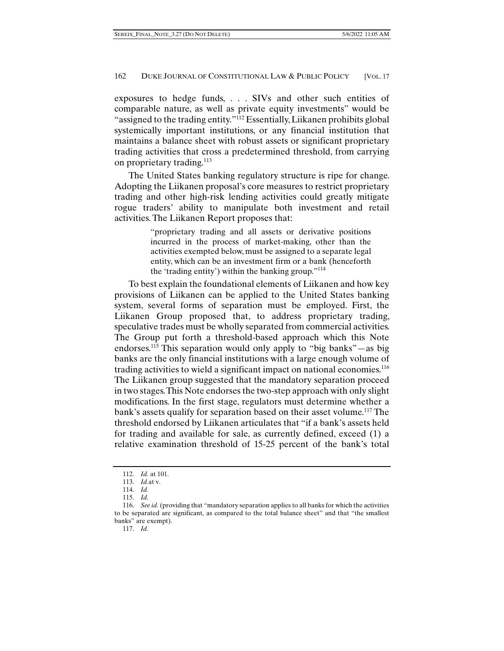exposures to hedge funds, . . . SIVs and other such entities of comparable nature, as well as private equity investments" would be "assigned to the trading entity."112 Essentially, Liikanen prohibits global systemically important institutions, or any financial institution that maintains a balance sheet with robust assets or significant proprietary trading activities that cross a predetermined threshold, from carrying on proprietary trading.<sup>113</sup>

The United States banking regulatory structure is ripe for change. Adopting the Liikanen proposal's core measures to restrict proprietary trading and other high-risk lending activities could greatly mitigate rogue traders' ability to manipulate both investment and retail activities. The Liikanen Report proposes that:

> "proprietary trading and all assets or derivative positions incurred in the process of market-making, other than the activities exempted below, must be assigned to a separate legal entity, which can be an investment firm or a bank (henceforth the 'trading entity') within the banking group."<sup>114</sup>

To best explain the foundational elements of Liikanen and how key provisions of Liikanen can be applied to the United States banking system, several forms of separation must be employed. First, the Liikanen Group proposed that, to address proprietary trading, speculative trades must be wholly separated from commercial activities. The Group put forth a threshold-based approach which this Note endorses.115 This separation would only apply to "big banks"—as big banks are the only financial institutions with a large enough volume of trading activities to wield a significant impact on national economies.116 The Liikanen group suggested that the mandatory separation proceed in two stages. This Note endorses the two-step approach with only slight modifications. In the first stage, regulators must determine whether a bank's assets qualify for separation based on their asset volume.<sup>117</sup> The threshold endorsed by Liikanen articulates that "if a bank's assets held for trading and available for sale, as currently defined, exceed (1) a relative examination threshold of 15-25 percent of the bank's total

117. *Id.* 

 <sup>112.</sup> *Id.* at 101.

 <sup>113.</sup> *Id.*at v.

 <sup>114.</sup> *Id.*

 <sup>115.</sup> *Id.* 

 <sup>116.</sup> *See id.* (providing that "mandatory separation applies to all banks for which the activities to be separated are significant, as compared to the total balance sheet" and that "the smallest banks" are exempt).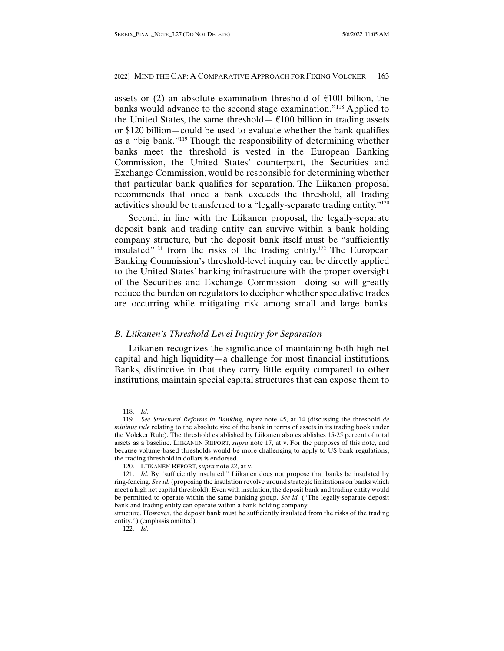assets or (2) an absolute examination threshold of  $\epsilon$ 100 billion, the banks would advance to the second stage examination."118 Applied to the United States, the same threshold—  $€100$  billion in trading assets or \$120 billion—could be used to evaluate whether the bank qualifies as a "big bank."119 Though the responsibility of determining whether banks meet the threshold is vested in the European Banking Commission, the United States' counterpart, the Securities and Exchange Commission, would be responsible for determining whether that particular bank qualifies for separation. The Liikanen proposal recommends that once a bank exceeds the threshold, all trading activities should be transferred to a "legally-separate trading entity."120

Second, in line with the Liikanen proposal, the legally-separate deposit bank and trading entity can survive within a bank holding company structure, but the deposit bank itself must be "sufficiently insulated"<sup>121</sup> from the risks of the trading entity.<sup>122</sup> The European Banking Commission's threshold-level inquiry can be directly applied to the United States' banking infrastructure with the proper oversight of the Securities and Exchange Commission—doing so will greatly reduce the burden on regulators to decipher whether speculative trades are occurring while mitigating risk among small and large banks.

#### *B. Liikanen's Threshold Level Inquiry for Separation*

Liikanen recognizes the significance of maintaining both high net capital and high liquidity—a challenge for most financial institutions. Banks, distinctive in that they carry little equity compared to other institutions, maintain special capital structures that can expose them to

 <sup>118.</sup> *Id.*

 <sup>119.</sup> *See Structural Reforms in Banking, supra* note 45, at 14 (discussing the threshold *de minimis rule* relating to the absolute size of the bank in terms of assets in its trading book under the Volcker Rule). The threshold established by Liikanen also establishes 15-25 percent of total assets as a baseline. LIIKANEN REPORT*, supra* note 17, at v. For the purposes of this note, and because volume-based thresholds would be more challenging to apply to US bank regulations, the trading threshold in dollars is endorsed.

 <sup>120.</sup> LIIKANEN REPORT*, supra* note 22, at v.

 <sup>121.</sup> *Id.* By "sufficiently insulated," Liikanen does not propose that banks be insulated by ring-fencing. *See id.* (proposing the insulation revolve around strategic limitations on banks which meet a high net capital threshold). Even with insulation, the deposit bank and trading entity would be permitted to operate within the same banking group. *See id.* ("The legally-separate deposit bank and trading entity can operate within a bank holding company

structure. However, the deposit bank must be sufficiently insulated from the risks of the trading entity.") (emphasis omitted).

 <sup>122.</sup> *Id.*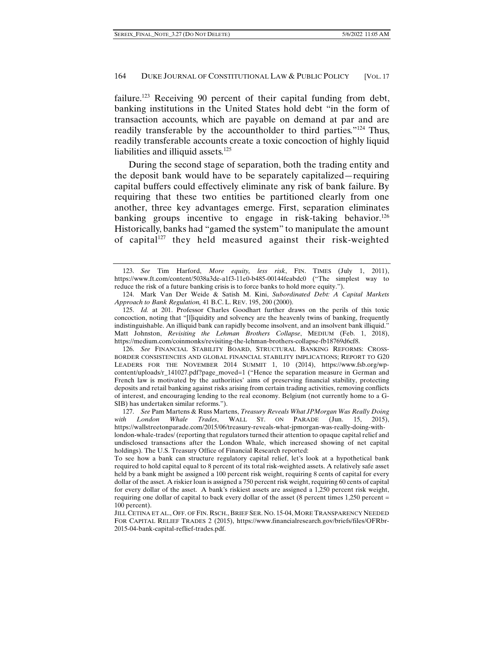failure.<sup>123</sup> Receiving 90 percent of their capital funding from debt, banking institutions in the United States hold debt "in the form of transaction accounts, which are payable on demand at par and are readily transferable by the accountholder to third parties."124 Thus, readily transferable accounts create a toxic concoction of highly liquid liabilities and illiquid assets.<sup>125</sup>

During the second stage of separation, both the trading entity and the deposit bank would have to be separately capitalized—requiring capital buffers could effectively eliminate any risk of bank failure. By requiring that these two entities be partitioned clearly from one another, three key advantages emerge. First, separation eliminates banking groups incentive to engage in risk-taking behavior.<sup>126</sup> Historically, banks had "gamed the system" to manipulate the amount of capital<sup>127</sup> they held measured against their risk-weighted

 <sup>123.</sup> *See* Tim Harford, *More equity, less risk*, FIN. TIMES (July 1, 2011), https://www.ft.com/content/5038a3de-a1f3-11e0-b485-00144feabdc0 ("The simplest way to reduce the risk of a future banking crisis is to force banks to hold more equity.").

 <sup>124.</sup> Mark Van Der Weide & Satish M. Kini, *Subordinated Debt: A Capital Markets Approach to Bank Regulation,* 41 B.C. L. REV. 195, 200 (2000).

 <sup>125.</sup> *Id.* at 201. Professor Charles Goodhart further draws on the perils of this toxic concoction, noting that "[l]iquidity and solvency are the heavenly twins of banking, frequently indistinguishable. An illiquid bank can rapidly become insolvent, and an insolvent bank illiquid." Matt Johnston, *Revisiting the Lehman Brothers Collapse*, MEDIUM (Feb. 1, 2018), https://medium.com/coinmonks/revisiting-the-lehman-brothers-collapse-fb18769d6cf8.

 <sup>126.</sup> *See* FINANCIAL STABILITY BOARD, STRUCTURAL BANKING REFORMS: CROSS-BORDER CONSISTENCIES AND GLOBAL FINANCIAL STABILITY IMPLICATIONS; REPORT TO G20 LEADERS FOR THE NOVEMBER 2014 SUMMIT 1, 10 (2014), https://www.fsb.org/wpcontent/uploads/r\_141027.pdf?page\_moved=1 ("Hence the separation measure in German and French law is motivated by the authorities' aims of preserving financial stability, protecting deposits and retail banking against risks arising from certain trading activities, removing conflicts of interest, and encouraging lending to the real economy. Belgium (not currently home to a G-SIB) has undertaken similar reforms.").

 <sup>127.</sup> *See* Pam Martens & Russ Martens, *Treasury Reveals What JPMorgan Was Really Doing with London Whale Trades*, WALL ST. ON PARADE (Jun. 15, 2015), https://wallstreetonparade.com/2015/06/treasury-reveals-what-jpmorgan-was-really-doing-withlondon-whale-trades/ (reporting that regulators turned their attention to opaque capital relief and undisclosed transactions after the London Whale, which increased showing of net capital holdings). The U.S. Treasury Office of Financial Research reported:

To see how a bank can structure regulatory capital relief, let's look at a hypothetical bank required to hold capital equal to 8 percent of its total risk-weighted assets. A relatively safe asset held by a bank might be assigned a 100 percent risk weight, requiring 8 cents of capital for every dollar of the asset. A riskier loan is assigned a 750 percent risk weight, requiring 60 cents of capital for every dollar of the asset. A bank's riskiest assets are assigned a 1,250 percent risk weight, requiring one dollar of capital to back every dollar of the asset (8 percent times 1,250 percent = 100 percent).

JILL CETINA ET AL., OFF. OF FIN. RSCH., BRIEF SER. NO. 15-04, MORE TRANSPARENCY NEEDED FOR CAPITAL RELIEF TRADES 2 (2015), https://www.financialresearch.gov/briefs/files/OFRbr-2015-04-bank-capital-reflief-trades.pdf.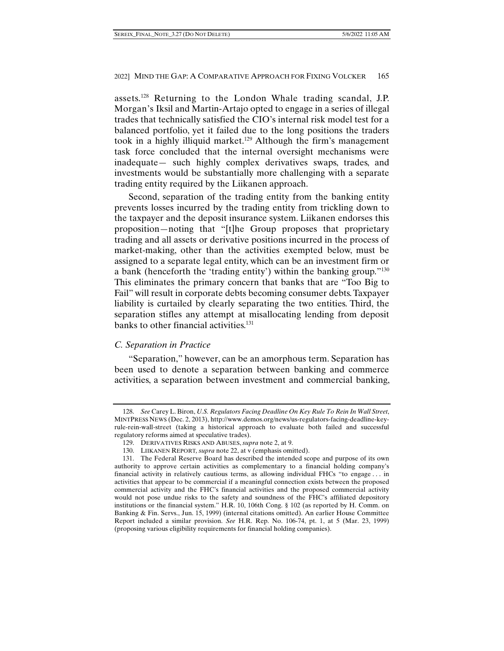assets.128 Returning to the London Whale trading scandal, J.P. Morgan's Iksil and Martin-Artajo opted to engage in a series of illegal trades that technically satisfied the CIO's internal risk model test for a balanced portfolio, yet it failed due to the long positions the traders took in a highly illiquid market.<sup>129</sup> Although the firm's management task force concluded that the internal oversight mechanisms were inadequate— such highly complex derivatives swaps, trades, and investments would be substantially more challenging with a separate trading entity required by the Liikanen approach.

Second, separation of the trading entity from the banking entity prevents losses incurred by the trading entity from trickling down to the taxpayer and the deposit insurance system. Liikanen endorses this proposition—noting that "[t]he Group proposes that proprietary trading and all assets or derivative positions incurred in the process of market-making, other than the activities exempted below, must be assigned to a separate legal entity, which can be an investment firm or a bank (henceforth the 'trading entity') within the banking group."130 This eliminates the primary concern that banks that are "Too Big to Fail" will result in corporate debts becoming consumer debts. Taxpayer liability is curtailed by clearly separating the two entities. Third, the separation stifles any attempt at misallocating lending from deposit banks to other financial activities.<sup>131</sup>

# *C. Separation in Practice*

"Separation," however, can be an amorphous term. Separation has been used to denote a separation between banking and commerce activities, a separation between investment and commercial banking,

 <sup>128.</sup> *See* Carey L. Biron, *U.S. Regulators Facing Deadline On Key Rule To Rein In Wall Street*, MINTPRESS NEWS (Dec. 2, 2013), http://www.demos.org/news/us-regulators-facing-deadline-keyrule-rein-wall-street (taking a historical approach to evaluate both failed and successful regulatory reforms aimed at speculative trades).

 <sup>129.</sup> DERIVATIVES RISKS AND ABUSES, *supra* note 2, at 9.

 <sup>130.</sup> LIIKANEN REPORT*, supra* note 22, at v (emphasis omitted).

 <sup>131.</sup> The Federal Reserve Board has described the intended scope and purpose of its own authority to approve certain activities as complementary to a financial holding company's financial activity in relatively cautious terms, as allowing individual FHCs "to engage . . . in activities that appear to be commercial if a meaningful connection exists between the proposed commercial activity and the FHC's financial activities and the proposed commercial activity would not pose undue risks to the safety and soundness of the FHC's affiliated depository institutions or the financial system." H.R. 10, 106th Cong. § 102 (as reported by H. Comm. on Banking & Fin. Servs., Jun. 15, 1999) (internal citations omitted). An earlier House Committee Report included a similar provision. *See* H.R. Rep. No. 106-74, pt. 1, at 5 (Mar. 23, 1999) (proposing various eligibility requirements for financial holding companies).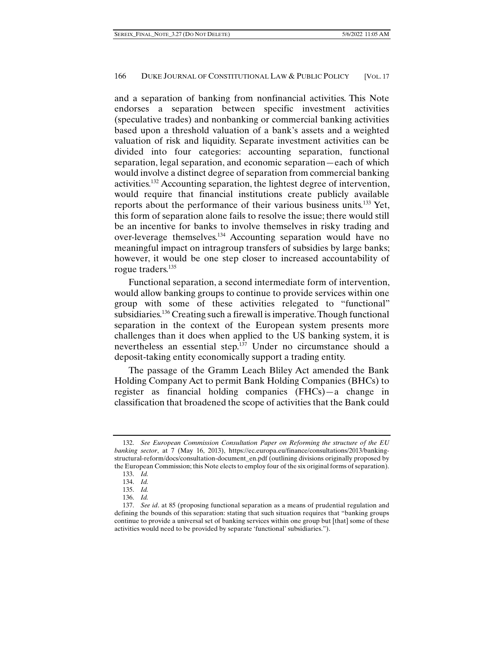and a separation of banking from nonfinancial activities. This Note endorses a separation between specific investment activities (speculative trades) and nonbanking or commercial banking activities based upon a threshold valuation of a bank's assets and a weighted valuation of risk and liquidity. Separate investment activities can be divided into four categories: accounting separation, functional separation, legal separation, and economic separation—each of which would involve a distinct degree of separation from commercial banking activities.132 Accounting separation, the lightest degree of intervention, would require that financial institutions create publicly available reports about the performance of their various business units.133 Yet, this form of separation alone fails to resolve the issue; there would still be an incentive for banks to involve themselves in risky trading and over-leverage themselves.134 Accounting separation would have no meaningful impact on intragroup transfers of subsidies by large banks; however, it would be one step closer to increased accountability of rogue traders.<sup>135</sup>

Functional separation, a second intermediate form of intervention, would allow banking groups to continue to provide services within one group with some of these activities relegated to "functional" subsidiaries.136 Creating such a firewall is imperative. Though functional separation in the context of the European system presents more challenges than it does when applied to the US banking system, it is nevertheless an essential step.<sup>137</sup> Under no circumstance should a deposit-taking entity economically support a trading entity.

The passage of the Gramm Leach Bliley Act amended the Bank Holding Company Act to permit Bank Holding Companies (BHCs) to register as financial holding companies (FHCs)—a change in classification that broadened the scope of activities that the Bank could

 <sup>132.</sup> *See European Commission Consultation Paper on Reforming the structure of the EU banking sector*, at 7 (May 16, 2013), https://ec.europa.eu/finance/consultations/2013/bankingstructural-reform/docs/consultation-document\_en.pdf (outlining divisions originally proposed by the European Commission; this Note elects to employ four of the six original forms of separation).

 <sup>133.</sup> *Id.*

 <sup>134.</sup> *Id.*

 <sup>135.</sup> *Id.*

 <sup>136.</sup> *Id.* 

 <sup>137.</sup> *See id*. at 85 (proposing functional separation as a means of prudential regulation and defining the bounds of this separation: stating that such situation requires that "banking groups continue to provide a universal set of banking services within one group but [that] some of these activities would need to be provided by separate 'functional' subsidiaries.").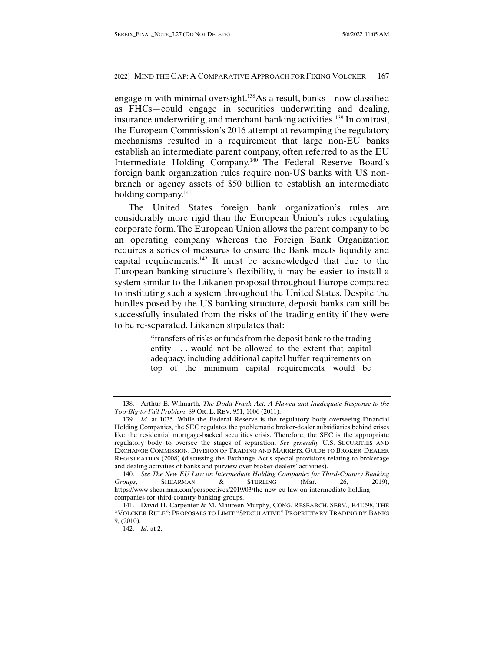engage in with minimal oversight.138As a result, banks—now classified as FHCs—could engage in securities underwriting and dealing, insurance underwriting, and merchant banking activities.<sup>139</sup> In contrast, the European Commission's 2016 attempt at revamping the regulatory mechanisms resulted in a requirement that large non-EU banks establish an intermediate parent company, often referred to as the EU Intermediate Holding Company.140 The Federal Reserve Board's foreign bank organization rules require non-US banks with US nonbranch or agency assets of \$50 billion to establish an intermediate holding company.<sup>141</sup>

The United States foreign bank organization's rules are considerably more rigid than the European Union's rules regulating corporate form. The European Union allows the parent company to be an operating company whereas the Foreign Bank Organization requires a series of measures to ensure the Bank meets liquidity and capital requirements.142 It must be acknowledged that due to the European banking structure's flexibility, it may be easier to install a system similar to the Liikanen proposal throughout Europe compared to instituting such a system throughout the United States. Despite the hurdles posed by the US banking structure, deposit banks can still be successfully insulated from the risks of the trading entity if they were to be re-separated. Liikanen stipulates that:

> "transfers of risks or funds from the deposit bank to the trading entity . . . would not be allowed to the extent that capital adequacy, including additional capital buffer requirements on top of the minimum capital requirements, would be

 <sup>138.</sup> Arthur E. Wilmarth, *The Dodd-Frank Act: A Flawed and Inadequate Response to the Too-Big-to-Fail Problem*, 89 OR. L. REV. 951, 1006 (2011).

 <sup>139.</sup> *Id*. at 1035. While the Federal Reserve is the regulatory body overseeing Financial Holding Companies, the SEC regulates the problematic broker-dealer subsidiaries behind crises like the residential mortgage-backed securities crisis. Therefore, the SEC is the appropriate regulatory body to oversee the stages of separation. *See generally* U.S. SECURITIES AND EXCHANGE COMMISSION: DIVISION OF TRADING AND MARKETS, GUIDE TO BROKER-DEALER REGISTRATION (2008) **(**discussing the Exchange Act's special provisions relating to brokerage and dealing activities of banks and purview over broker-dealers' activities).

 <sup>140.</sup> *See The New EU Law on Intermediate Holding Companies for Third-Country Banking Groups*, SHEARMAN & STERLING (Mar. 26, 2019), https://www.shearman.com/perspectives/2019/03/the-new-eu-law-on-intermediate-holdingcompanies-for-third-country-banking-groups.

 <sup>141.</sup> David H. Carpenter & M. Maureen Murphy, CONG. RESEARCH. SERV., R41298, THE "VOLCKER RULE": PROPOSALS TO LIMIT "SPECULATIVE" PROPRIETARY TRADING BY BANKS 9, (2010).

 <sup>142.</sup> *Id.* at 2.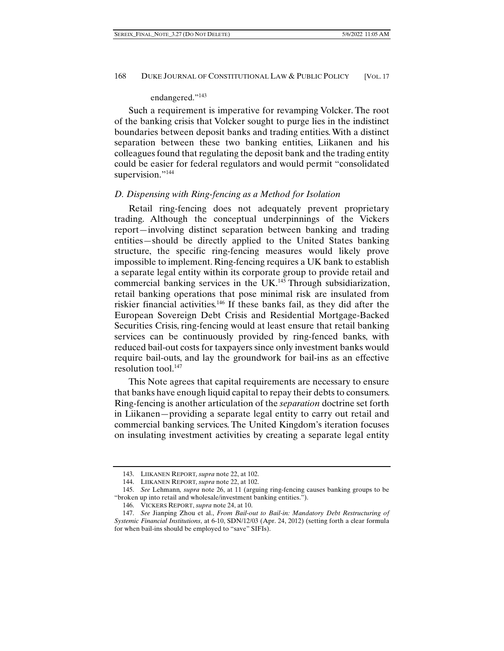#### endangered."<sup>143</sup>

Such a requirement is imperative for revamping Volcker. The root of the banking crisis that Volcker sought to purge lies in the indistinct boundaries between deposit banks and trading entities. With a distinct separation between these two banking entities, Liikanen and his colleagues found that regulating the deposit bank and the trading entity could be easier for federal regulators and would permit "consolidated supervision."<sup>144</sup>

# *D. Dispensing with Ring-fencing as a Method for Isolation*

Retail ring-fencing does not adequately prevent proprietary trading. Although the conceptual underpinnings of the Vickers report—involving distinct separation between banking and trading entities—should be directly applied to the United States banking structure, the specific ring-fencing measures would likely prove impossible to implement. Ring-fencing requires a UK bank to establish a separate legal entity within its corporate group to provide retail and commercial banking services in the UK.<sup>145</sup> Through subsidiarization, retail banking operations that pose minimal risk are insulated from riskier financial activities.<sup>146</sup> If these banks fail, as they did after the European Sovereign Debt Crisis and Residential Mortgage-Backed Securities Crisis, ring-fencing would at least ensure that retail banking services can be continuously provided by ring-fenced banks, with reduced bail-out costs for taxpayers since only investment banks would require bail-outs, and lay the groundwork for bail-ins as an effective resolution tool.<sup>147</sup>

This Note agrees that capital requirements are necessary to ensure that banks have enough liquid capital to repay their debts to consumers. Ring-fencing is another articulation of the *separation* doctrine set forth in Liikanen—providing a separate legal entity to carry out retail and commercial banking services. The United Kingdom's iteration focuses on insulating investment activities by creating a separate legal entity

 <sup>143.</sup> LIIKANEN REPORT*, supra* note 22, at 102.

 <sup>144.</sup> LIIKANEN REPORT*, supra* note 22, at 102.

 <sup>145.</sup> *See* Lehmann*, supra* note 26, at 11 (arguing ring-fencing causes banking groups to be "broken up into retail and wholesale/investment banking entities.").

 <sup>146.</sup> VICKERS REPORT, *supra* note 24, at 10.

 <sup>147.</sup> *See* Jianping Zhou et al., *From Bail-out to Bail-in: Mandatory Debt Restructuring of Systemic Financial Institutions*, at 6-10, SDN/12/03 (Apr. 24, 2012) (setting forth a clear formula for when bail-ins should be employed to "save" SIFIs).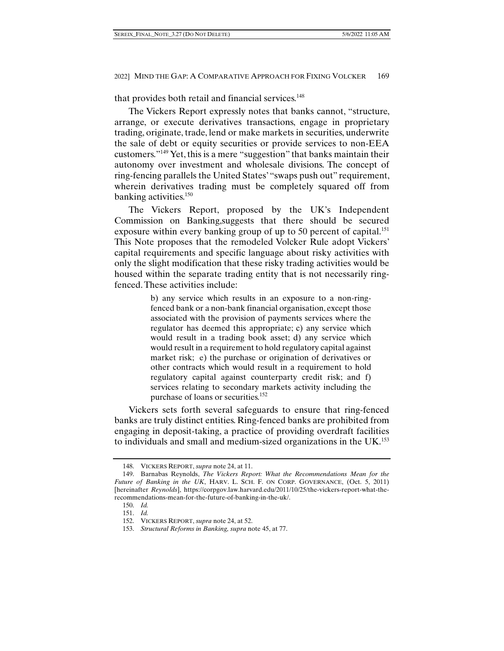that provides both retail and financial services.<sup>148</sup>

The Vickers Report expressly notes that banks cannot, "structure, arrange, or execute derivatives transactions, engage in proprietary trading, originate, trade, lend or make markets in securities, underwrite the sale of debt or equity securities or provide services to non-EEA customers."149 Yet, this is a mere "suggestion" that banks maintain their autonomy over investment and wholesale divisions. The concept of ring-fencing parallels the United States' "swaps push out" requirement, wherein derivatives trading must be completely squared off from banking activities.150

The Vickers Report, proposed by the UK's Independent Commission on Banking,suggests that there should be secured exposure within every banking group of up to 50 percent of capital.<sup>151</sup> This Note proposes that the remodeled Volcker Rule adopt Vickers' capital requirements and specific language about risky activities with only the slight modification that these risky trading activities would be housed within the separate trading entity that is not necessarily ringfenced. These activities include:

> b) any service which results in an exposure to a non-ringfenced bank or a non-bank financial organisation, except those associated with the provision of payments services where the regulator has deemed this appropriate; c) any service which would result in a trading book asset; d) any service which would result in a requirement to hold regulatory capital against market risk; e) the purchase or origination of derivatives or other contracts which would result in a requirement to hold regulatory capital against counterparty credit risk; and f) services relating to secondary markets activity including the purchase of loans or securities.<sup>152</sup>

Vickers sets forth several safeguards to ensure that ring-fenced banks are truly distinct entities. Ring-fenced banks are prohibited from engaging in deposit-taking, a practice of providing overdraft facilities to individuals and small and medium-sized organizations in the UK.153

 <sup>148.</sup> VICKERS REPORT, *supra* note 24, at 11.

 <sup>149.</sup> Barnabas Reynolds, *The Vickers Report: What the Recommendations Mean for the Future of Banking in the UK*, HARV. L. SCH. F. ON CORP. GOVERNANCE, (Oct. 5, 2011) [hereinafter *Reynolds*], https://corpgov.law.harvard.edu/2011/10/25/the-vickers-report-what-therecommendations-mean-for-the-future-of-banking-in-the-uk/.

 <sup>150.</sup> *Id.*

 <sup>151.</sup> *Id.*

 <sup>152.</sup> VICKERS REPORT, *supra* note 24, at 52.

 <sup>153.</sup> *Structural Reforms in Banking, supra* note 45, at 77.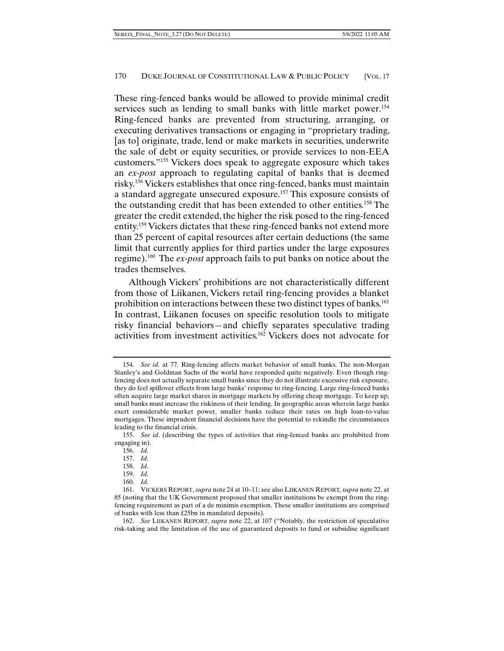These ring-fenced banks would be allowed to provide minimal credit services such as lending to small banks with little market power.<sup>154</sup> Ring-fenced banks are prevented from structuring, arranging, or executing derivatives transactions or engaging in "proprietary trading, [as to] originate, trade, lend or make markets in securities, underwrite the sale of debt or equity securities, or provide services to non-EEA customers."155 Vickers does speak to aggregate exposure which takes an *ex-post* approach to regulating capital of banks that is deemed risky.156 Vickers establishes that once ring-fenced, banks must maintain a standard aggregate unsecured exposure.157 This exposure consists of the outstanding credit that has been extended to other entities.158 The greater the credit extended, the higher the risk posed to the ring-fenced entity.159 Vickers dictates that these ring-fenced banks not extend more than 25 percent of capital resources after certain deductions (the same limit that currently applies for third parties under the large exposures regime).160 The *ex-post* approach fails to put banks on notice about the trades themselves.

Although Vickers' prohibitions are not characteristically different from those of Liikanen, Vickers retail ring-fencing provides a blanket prohibition on interactions between these two distinct types of banks.<sup>161</sup> In contrast, Liikanen focuses on specific resolution tools to mitigate risky financial behaviors—and chiefly separates speculative trading activities from investment activities.162 Vickers does not advocate for

 <sup>154.</sup> *See id.* at 77*.* Ring-fencing affects market behavior of small banks. The non-Morgan Stanley's and Goldman Sachs of the world have responded quite negatively. Even though ringfencing does not actually separate small banks since they do not illustrate excessive risk exposure, they do feel spillover effects from large banks' response to ring-fencing. Large ring-fenced banks often acquire large market shares in mortgage markets by offering cheap mortgage. To keep up, small banks must increase the riskiness of their lending. In geographic areas wherein large banks exert considerable market power, smaller banks reduce their rates on high loan-to-value mortgages. These imprudent financial decisions have the potential to rekindle the circumstances leading to the financial crisis.

 <sup>155.</sup> *See id*. (describing the types of activities that ring-fenced banks are prohibited from engaging in).

 <sup>156.</sup> *Id.*

 <sup>157.</sup> *Id.*

 <sup>158.</sup> *Id.* 

 <sup>159.</sup> *Id.*

 <sup>160.</sup> *Id.*

 <sup>161.</sup> VICKERS REPORT, *supra* note 24 at 10–11; see also LIIKANEN REPORT*,supra* note 22, at 85 (noting that the UK Government proposed that smaller institutions be exempt from the ringfencing requirement as part of a de minimis exemption. These smaller institutions are comprised of banks with less than £25bn in mandated deposits).

 <sup>162.</sup> *See* LIIKANEN REPORT*, supra* note 22, at 107 ("Notably, the restriction of speculative risk-taking and the limitation of the use of guaranteed deposits to fund or subsidise significant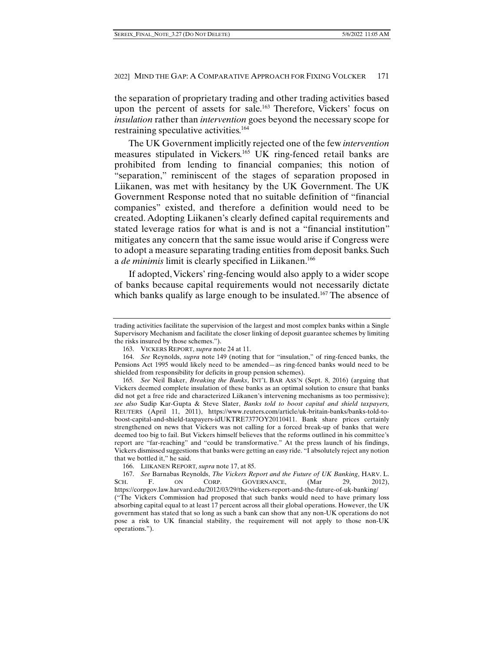the separation of proprietary trading and other trading activities based upon the percent of assets for sale.<sup>163</sup> Therefore, Vickers' focus on *insulation* rather than *intervention* goes beyond the necessary scope for restraining speculative activities.164

The UK Government implicitly rejected one of the few *intervention*  measures stipulated in Vickers.<sup>165</sup> UK ring-fenced retail banks are prohibited from lending to financial companies; this notion of "separation," reminiscent of the stages of separation proposed in Liikanen, was met with hesitancy by the UK Government. The UK Government Response noted that no suitable definition of "financial companies" existed, and therefore a definition would need to be created. Adopting Liikanen's clearly defined capital requirements and stated leverage ratios for what is and is not a "financial institution" mitigates any concern that the same issue would arise if Congress were to adopt a measure separating trading entities from deposit banks. Such a *de minimis* limit is clearly specified in Liikanen.166

If adopted, Vickers' ring-fencing would also apply to a wider scope of banks because capital requirements would not necessarily dictate which banks qualify as large enough to be insulated.<sup>167</sup> The absence of

trading activities facilitate the supervision of the largest and most complex banks within a Single Supervisory Mechanism and facilitate the closer linking of deposit guarantee schemes by limiting the risks insured by those schemes.").

 <sup>163.</sup> VICKERS REPORT, *supra* note 24 at 11.

 <sup>164.</sup> *See* Reynolds, *supra* note 149 (noting that for "insulation," of ring-fenced banks, the Pensions Act 1995 would likely need to be amended—as ring-fenced banks would need to be shielded from responsibility for deficits in group pension schemes).

<sup>165</sup>*. See* Neil Baker, *Breaking the Banks*, INT'L BAR ASS'N (Sept. 8, 2016) (arguing that Vickers deemed complete insulation of these banks as an optimal solution to ensure that banks did not get a free ride and characterized Liikanen's intervening mechanisms as too permissive); *see also* Sudip Kar-Gupta & Steve Slater, *Banks told to boost capital and shield taxpayers,* REUTERS (April 11, 2011), https://www.reuters.com/article/uk-britain-banks/banks-told-toboost-capital-and-shield-taxpayers-idUKTRE7377OY20110411. Bank share prices certainly strengthened on news that Vickers was not calling for a forced break-up of banks that were deemed too big to fail. But Vickers himself believes that the reforms outlined in his committee's report are "far-reaching" and "could be transformative." At the press launch of his findings, Vickers dismissed suggestions that banks were getting an easy ride. "I absolutely reject any notion that we bottled it," he said.

 <sup>166.</sup> LIIKANEN REPORT*, supra* note 17, at 85.

 <sup>167.</sup> *See* Barnabas Reynolds, *The Vickers Report and the Future of UK Banking*, HARV. L. SCH. F. ON CORP. GOVERNANCE, (Mar 29, 2012), https://corpgov.law.harvard.edu/2012/03/29/the-vickers-report-and-the-future-of-uk-banking/ ("The Vickers Commission had proposed that such banks would need to have primary loss absorbing capital equal to at least 17 percent across all their global operations. However, the UK government has stated that so long as such a bank can show that any non-UK operations do not pose a risk to UK financial stability, the requirement will not apply to those non-UK operations.").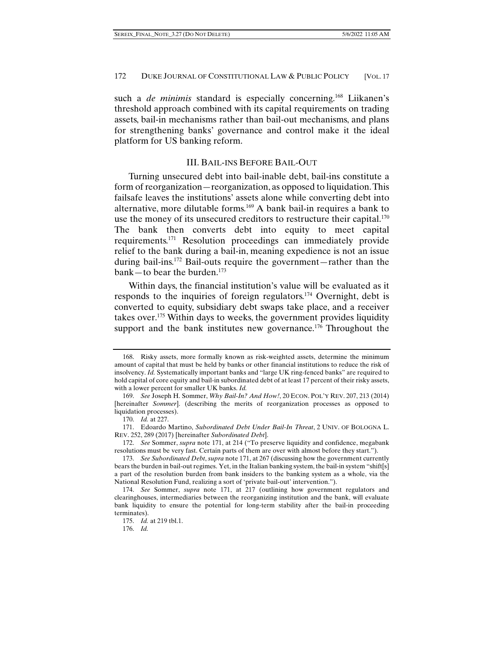such a *de minimis* standard is especially concerning.<sup>168</sup> Liikanen's threshold approach combined with its capital requirements on trading assets, bail-in mechanisms rather than bail-out mechanisms, and plans for strengthening banks' governance and control make it the ideal platform for US banking reform.

# III. BAIL-INS BEFORE BAIL-OUT

Turning unsecured debt into bail-inable debt, bail-ins constitute a form of reorganization—reorganization, as opposed to liquidation. This failsafe leaves the institutions' assets alone while converting debt into alternative, more dilutable forms.169 A bank bail-in requires a bank to use the money of its unsecured creditors to restructure their capital.<sup>170</sup> The bank then converts debt into equity to meet capital requirements.171 Resolution proceedings can immediately provide relief to the bank during a bail-in, meaning expedience is not an issue during bail-ins.172 Bail-outs require the government—rather than the bank—to bear the burden. $173$ 

Within days, the financial institution's value will be evaluated as it responds to the inquiries of foreign regulators.174 Overnight, debt is converted to equity, subsidiary debt swaps take place, and a receiver takes over.175 Within days to weeks, the government provides liquidity support and the bank institutes new governance.<sup>176</sup> Throughout the

170. *Id.* at 227.

 <sup>168.</sup> Risky assets, more formally known as risk-weighted assets, determine the minimum amount of capital that must be held by banks or other financial institutions to reduce the risk of insolvency. *Id.* Systematically important banks and "large UK ring-fenced banks" are required to hold capital of core equity and bail-in subordinated debt of at least 17 percent of their risky assets, with a lower percent for smaller UK banks. *Id.*

 <sup>169.</sup> *See* Joseph H. Sommer, *Why Bail-In? And How!*, 20 ECON. POL'Y REV. 207, 213 (2014) [hereinafter *Sommer*]. (describing the merits of reorganization processes as opposed to liquidation processes).

 <sup>171.</sup> Edoardo Martino, *Subordinated Debt Under Bail-In Threat*, 2 UNIV. OF BOLOGNA L. REV. 252, 289 (2017) [hereinafter *Subordinated Debt*].

 <sup>172.</sup> *See* Sommer, *supra* note 171, at 214 ("To preserve liquidity and confidence, megabank resolutions must be very fast. Certain parts of them are over with almost before they start.").

 <sup>173.</sup> *See Subordinated Debt*, *supra* note 171, at 267 (discussing how the government currently bears the burden in bail-out regimes. Yet, in the Italian banking system, the bail-in system "shift[s] a part of the resolution burden from bank insiders to the banking system as a whole, via the National Resolution Fund, realizing a sort of 'private bail-out' intervention.").

 <sup>174.</sup> *See* Sommer, *supra* note 171, at 217 (outlining how government regulators and clearinghouses, intermediaries between the reorganizing institution and the bank, will evaluate bank liquidity to ensure the potential for long-term stability after the bail-in proceeding terminates).

 <sup>175.</sup> *Id.* at 219 tbl.1.

 <sup>176.</sup> *Id.*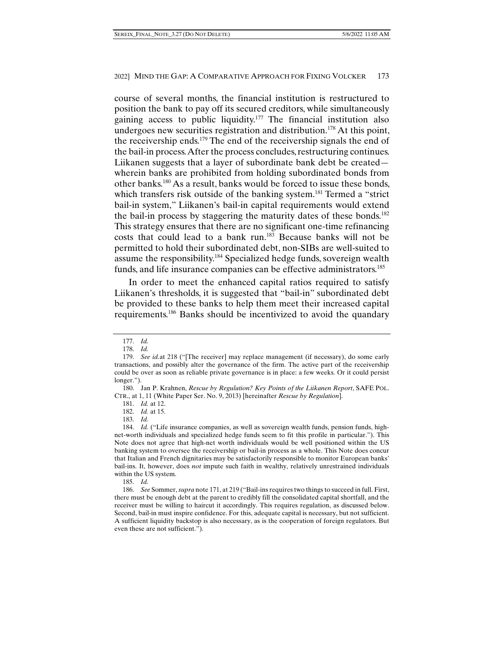course of several months, the financial institution is restructured to position the bank to pay off its secured creditors, while simultaneously gaining access to public liquidity.<sup>177</sup> The financial institution also undergoes new securities registration and distribution.178 At this point, the receivership ends.179 The end of the receivership signals the end of the bail-in process. After the process concludes, restructuring continues. Liikanen suggests that a layer of subordinate bank debt be created wherein banks are prohibited from holding subordinated bonds from other banks.180 As a result, banks would be forced to issue these bonds, which transfers risk outside of the banking system.<sup>181</sup> Termed a "strict" bail-in system," Liikanen's bail-in capital requirements would extend the bail-in process by staggering the maturity dates of these bonds.<sup>182</sup> This strategy ensures that there are no significant one-time refinancing costs that could lead to a bank run.<sup>183</sup> Because banks will not be permitted to hold their subordinated debt, non-SIBs are well-suited to assume the responsibility.184 Specialized hedge funds, sovereign wealth funds, and life insurance companies can be effective administrators.<sup>185</sup>

In order to meet the enhanced capital ratios required to satisfy Liikanen's thresholds, it is suggested that "bail-in" subordinated debt be provided to these banks to help them meet their increased capital requirements.186 Banks should be incentivized to avoid the quandary

185. *Id.*

 <sup>177.</sup> *Id.*

 <sup>178.</sup> *Id.* 

 <sup>179.</sup> *See id.*at 218 ("[The receiver] may replace management (if necessary), do some early transactions, and possibly alter the governance of the firm. The active part of the receivership could be over as soon as reliable private governance is in place: a few weeks. Or it could persist longer.").

 <sup>180.</sup> Jan P. Krahnen, *Rescue by Regulation? Key Points of the Liikanen Report*, SAFE POL. CTR., at 1, 11 (White Paper Ser. No. 9, 2013) [hereinafter *Rescue by Regulation*].

 <sup>181.</sup> *Id.* at 12.

 <sup>182.</sup> *Id.* at 15.

 <sup>183.</sup> *Id.*

 <sup>184.</sup> *Id.* ("Life insurance companies, as well as sovereign wealth funds, pension funds, highnet-worth individuals and specialized hedge funds seem to fit this profile in particular."). This Note does not agree that high-net worth individuals would be well positioned within the US banking system to oversee the receivership or bail-in process as a whole. This Note does concur that Italian and French dignitaries may be satisfactorily responsible to monitor European banks' bail-ins. It, however, does *not* impute such faith in wealthy, relatively unrestrained individuals within the US system.

 <sup>186.</sup> *See* Sommer, *supra* note 171, at 219 ("Bail-ins requires two things to succeed in full. First, there must be enough debt at the parent to credibly fill the consolidated capital shortfall, and the receiver must be willing to haircut it accordingly. This requires regulation, as discussed below. Second, bail-in must inspire confidence. For this, adequate capital is necessary, but not sufficient. A sufficient liquidity backstop is also necessary, as is the cooperation of foreign regulators. But even these are not sufficient.").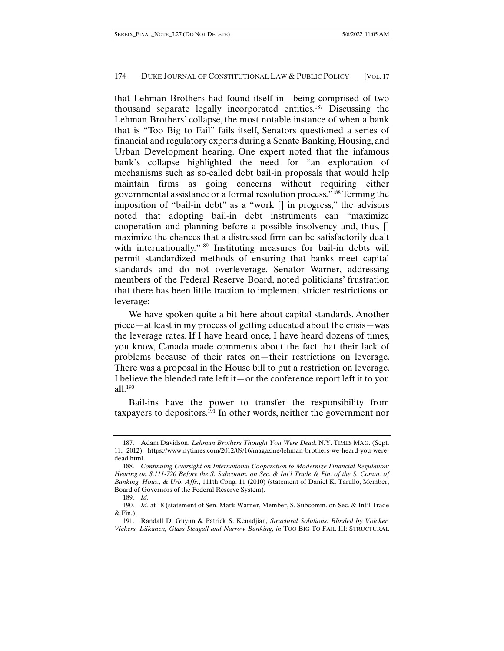that Lehman Brothers had found itself in—being comprised of two thousand separate legally incorporated entities.187 Discussing the Lehman Brothers' collapse, the most notable instance of when a bank that is "Too Big to Fail" fails itself, Senators questioned a series of financial and regulatory experts during a Senate Banking, Housing, and Urban Development hearing. One expert noted that the infamous bank's collapse highlighted the need for "an exploration of mechanisms such as so-called debt bail-in proposals that would help maintain firms as going concerns without requiring either governmental assistance or a formal resolution process."188 Terming the imposition of "bail-in debt" as a "work [] in progress," the advisors noted that adopting bail-in debt instruments can "maximize cooperation and planning before a possible insolvency and, thus, [] maximize the chances that a distressed firm can be satisfactorily dealt with internationally."<sup>189</sup> Instituting measures for bail-in debts will permit standardized methods of ensuring that banks meet capital standards and do not overleverage. Senator Warner, addressing members of the Federal Reserve Board, noted politicians' frustration that there has been little traction to implement stricter restrictions on leverage:

We have spoken quite a bit here about capital standards. Another piece—at least in my process of getting educated about the crisis—was the leverage rates. If I have heard once, I have heard dozens of times, you know, Canada made comments about the fact that their lack of problems because of their rates on—their restrictions on leverage. There was a proposal in the House bill to put a restriction on leverage. I believe the blended rate left it—or the conference report left it to you all.190

Bail-ins have the power to transfer the responsibility from taxpayers to depositors.191 In other words, neither the government nor

 <sup>187.</sup> Adam Davidson, *Lehman Brothers Thought You Were Dead*, N.Y. TIMES MAG. (Sept. 11, 2012), https://www.nytimes.com/2012/09/16/magazine/lehman-brothers-we-heard-you-weredead.html.

 <sup>188.</sup> *Continuing Oversight on International Cooperation to Modernize Financial Regulation: Hearing on S.111-720 Before the S. Subcomm. on Sec. & Int'l Trade & Fin. of the S. Comm. of Banking, Hous., & Urb. Affs.*, 111th Cong. 11 (2010) (statement of Daniel K. Tarullo, Member, Board of Governors of the Federal Reserve System).

 <sup>189.</sup> *Id.*

 <sup>190.</sup> *Id.* at 18 (statement of Sen. Mark Warner, Member, S. Subcomm. on Sec. & Int'l Trade & Fin.).

 <sup>191.</sup> Randall D. Guynn & Patrick S. Kenadjian*, Structural Solutions: Blinded by Volcker, Vickers, Liikanen, Glass Steagall and Narrow Banking*, *in* TOO BIG TO FAIL III: STRUCTURAL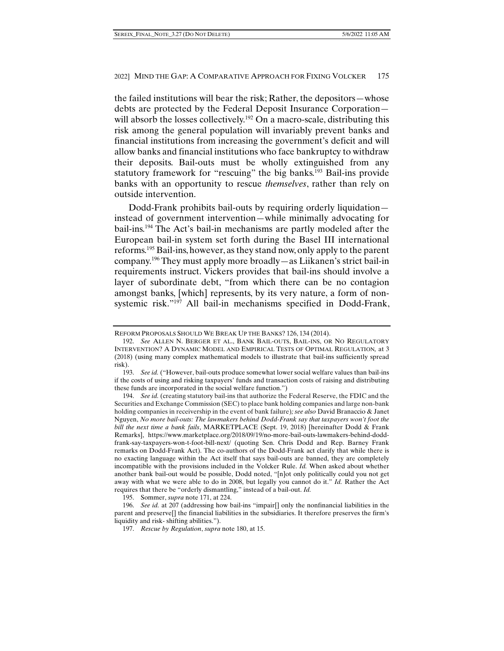the failed institutions will bear the risk; Rather, the depositors—whose debts are protected by the Federal Deposit Insurance Corporation will absorb the losses collectively.<sup>192</sup> On a macro-scale, distributing this risk among the general population will invariably prevent banks and financial institutions from increasing the government's deficit and will allow banks and financial institutions who face bankruptcy to withdraw their deposits. Bail-outs must be wholly extinguished from any statutory framework for "rescuing" the big banks.<sup>193</sup> Bail-ins provide banks with an opportunity to rescue *themselves*, rather than rely on outside intervention.

Dodd-Frank prohibits bail-outs by requiring orderly liquidation instead of government intervention—while minimally advocating for bail-ins.194 The Act's bail-in mechanisms are partly modeled after the European bail-in system set forth during the Basel III international reforms.195 Bail-ins, however, as they stand now, only apply to the parent company.196 They must apply more broadly—as Liikanen's strict bail-in requirements instruct. Vickers provides that bail-ins should involve a layer of subordinate debt, "from which there can be no contagion amongst banks, [which] represents, by its very nature, a form of nonsystemic risk."197 All bail-in mechanisms specified in Dodd-Frank,

195. Sommer, *supra* note 171, at 224.

 196. *See id.* at 207 (addressing how bail-ins "impair[] only the nonfinancial liabilities in the parent and preserve[] the financial liabilities in the subsidiaries. It therefore preserves the firm's liquidity and risk- shifting abilities.").

197. *Rescue by Regulation*, *supra* note 180, at 15.

REFORM PROPOSALS SHOULD WE BREAK UP THE BANKS? 126, 134 (2014).

 <sup>192.</sup> *See* ALLEN N. BERGER ET AL., BANK BAIL-OUTS, BAIL-INS, OR NO REGULATORY INTERVENTION? A DYNAMIC MODEL AND EMPIRICAL TESTS OF OPTIMAL REGULATION*,* at 3 (2018) (using many complex mathematical models to illustrate that bail-ins sufficiently spread risk).

 <sup>193.</sup> *See id.* ("However, bail-outs produce somewhat lower social welfare values than bail-ins if the costs of using and risking taxpayers' funds and transaction costs of raising and distributing these funds are incorporated in the social welfare function.")

 <sup>194.</sup> *See id.* (creating statutory bail-ins that authorize the Federal Reserve, the FDIC and the Securities and Exchange Commission (SEC) to place bank holding companies and large non-bank holding companies in receivership in the event of bank failure)*; see also* David Branaccio & Janet Nguyen, *No more bail-outs: The lawmakers behind Dodd-Frank say that taxpayers won't foot the bill the next time a bank fails*, MARKETPLACE (Sept. 19, 2018) [hereinafter Dodd & Frank Remarks], https://www.marketplace.org/2018/09/19/no-more-bail-outs-lawmakers-behind-doddfrank-say-taxpayers-won-t-foot-bill-next/ (quoting Sen. Chris Dodd and Rep. Barney Frank remarks on Dodd-Frank Act). The co-authors of the Dodd-Frank act clarify that while there is no exacting language within the Act itself that says bail-outs are banned, they are completely incompatible with the provisions included in the Volcker Rule. *Id.* When asked about whether another bank bail-out would be possible, Dodd noted, "[n]ot only politically could you not get away with what we were able to do in 2008, but legally you cannot do it." *Id.* Rather the Act requires that there be "orderly dismantling," instead of a bail-out. *Id.*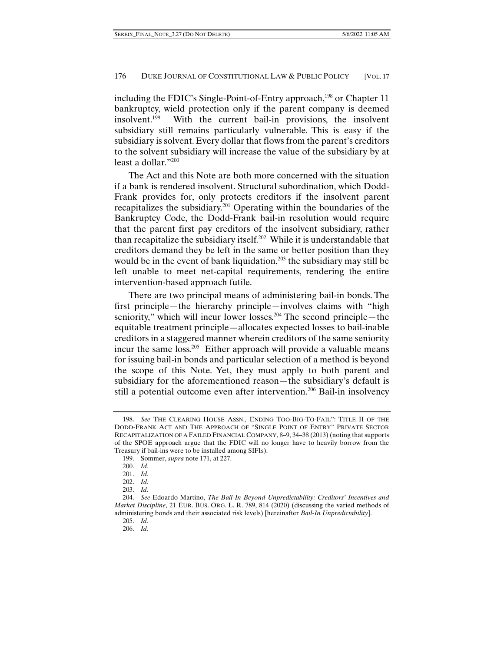including the FDIC's Single-Point-of-Entry approach,<sup>198</sup> or Chapter 11 bankruptcy, wield protection only if the parent company is deemed insolvent.199 With the current bail-in provisions, the insolvent subsidiary still remains particularly vulnerable. This is easy if the subsidiary is solvent. Every dollar that flows from the parent's creditors to the solvent subsidiary will increase the value of the subsidiary by at least a dollar."200

The Act and this Note are both more concerned with the situation if a bank is rendered insolvent. Structural subordination, which Dodd-Frank provides for, only protects creditors if the insolvent parent recapitalizes the subsidiary.201 Operating within the boundaries of the Bankruptcy Code, the Dodd-Frank bail-in resolution would require that the parent first pay creditors of the insolvent subsidiary, rather than recapitalize the subsidiary itself.202 While it is understandable that creditors demand they be left in the same or better position than they would be in the event of bank liquidation,<sup>203</sup> the subsidiary may still be left unable to meet net-capital requirements, rendering the entire intervention-based approach futile.

There are two principal means of administering bail-in bonds. The first principle—the hierarchy principle—involves claims with "high seniority," which will incur lower losses.<sup>204</sup> The second principle—the equitable treatment principle—allocates expected losses to bail-inable creditors in a staggered manner wherein creditors of the same seniority incur the same  $loss^{205}$  Either approach will provide a valuable means for issuing bail-in bonds and particular selection of a method is beyond the scope of this Note. Yet, they must apply to both parent and subsidiary for the aforementioned reason—the subsidiary's default is still a potential outcome even after intervention.206 Bail-in insolvency

 <sup>198.</sup> *See* THE CLEARING HOUSE ASSN., ENDING TOO-BIG-TO-FAIL": TITLE II OF THE DODD-FRANK ACT AND THE APPROACH OF "SINGLE POINT OF ENTRY" PRIVATE SECTOR RECAPITALIZATION OF A FAILED FINANCIAL COMPANY, 8–9, 34–38 (2013) (noting that supports of the SPOE approach argue that the FDIC will no longer have to heavily borrow from the Treasury if bail-ins were to be installed among SIFIs).

 <sup>199.</sup> Sommer, *supra* note 171, at 227.

 <sup>200.</sup> *Id.*

 <sup>201.</sup> *Id.* 

 <sup>202.</sup> *Id.* 

 <sup>203.</sup> *Id.* 

 <sup>204.</sup> *See* Edoardo Martino, *The Bail-In Beyond Unpredictability: Creditors' Incentives and Market Discipline*, 21 EUR. BUS. ORG. L. R. 789, 814 (2020) (discussing the varied methods of administering bonds and their associated risk levels) [hereinafter *Bail-In Unpredictability*].

 <sup>205.</sup> *Id.* 

 <sup>206.</sup> *Id.*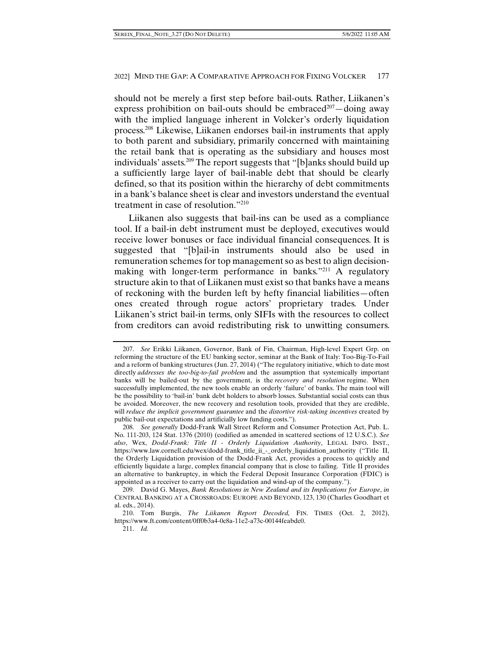should not be merely a first step before bail-outs. Rather, Liikanen's express prohibition on bail-outs should be embraced<sup>207</sup> $-$ doing away with the implied language inherent in Volcker's orderly liquidation process.208 Likewise, Liikanen endorses bail-in instruments that apply to both parent and subsidiary, primarily concerned with maintaining the retail bank that is operating as the subsidiary and houses most individuals' assets.209 The report suggests that "[b]anks should build up a sufficiently large layer of bail-inable debt that should be clearly defined, so that its position within the hierarchy of debt commitments in a bank's balance sheet is clear and investors understand the eventual treatment in case of resolution."210

Liikanen also suggests that bail-ins can be used as a compliance tool. If a bail-in debt instrument must be deployed, executives would receive lower bonuses or face individual financial consequences. It is suggested that "[b]ail-in instruments should also be used in remuneration schemes for top management so as best to align decisionmaking with longer-term performance in banks."<sup>211</sup> A regulatory structure akin to that of Liikanen must exist so that banks have a means of reckoning with the burden left by hefty financial liabilities—often ones created through rogue actors' proprietary trades. Under Liikanen's strict bail-in terms, only SIFIs with the resources to collect from creditors can avoid redistributing risk to unwitting consumers.

 <sup>207.</sup> *See* Erikki Liikanen, Governor, Bank of Fin, Chairman, High-level Expert Grp. on reforming the structure of the EU banking sector, seminar at the Bank of Italy: Too-Big-To-Fail and a reform of banking structures (Jun. 27, 2014) ("The regulatory initiative, which to date most directly *addresses the too-big-to-fail problem* and the assumption that systemically important banks will be bailed-out by the government, is the *recovery and resolution* regime. When successfully implemented, the new tools enable an orderly 'failure' of banks. The main tool will be the possibility to 'bail-in' bank debt holders to absorb losses. Substantial social costs can thus be avoided. Moreover, the new recovery and resolution tools, provided that they are credible, will *reduce the implicit government guarantee* and the *distortive risk-taking incentives* created by public bail-out expectations and artificially low funding costs.").

 <sup>208.</sup> *See generally* Dodd-Frank Wall Street Reform and Consumer Protection Act, Pub. L. No. 111-203, 124 Stat. 1376 (2010) (codified as amended in scattered sections of 12 U.S.C.). *See also*, Wex, *Dodd-Frank: Title II - Orderly Liquidation Authority*, LEGAL INFO. INST., https://www.law.cornell.edu/wex/dodd-frank\_title\_ii\_-\_orderly\_liquidation\_authority ("Title II, the Orderly Liquidation provision of the Dodd-Frank Act, provides a process to quickly and efficiently liquidate a large, complex financial company that is close to failing. Title II provides an alternative to bankruptcy, in which the Federal Deposit Insurance Corporation (FDIC) is appointed as a receiver to carry out the liquidation and wind-up of the company.").

 <sup>209.</sup> David G. Mayes, *Bank Resolutions in New Zealand and its Implications for Europe*, *in* CENTRAL BANKING AT A CROSSROADS: EUROPE AND BEYOND, 123, 130 (Charles Goodhart et al. eds., 2014).

 <sup>210.</sup> Tom Burgis, *The Liikanen Report Decoded,* FIN. TIMES (Oct. 2, 2012), https://www.ft.com/content/0ff0b3a4-0c8a-11e2-a73c-00144feabdc0.

 <sup>211.</sup> *Id.*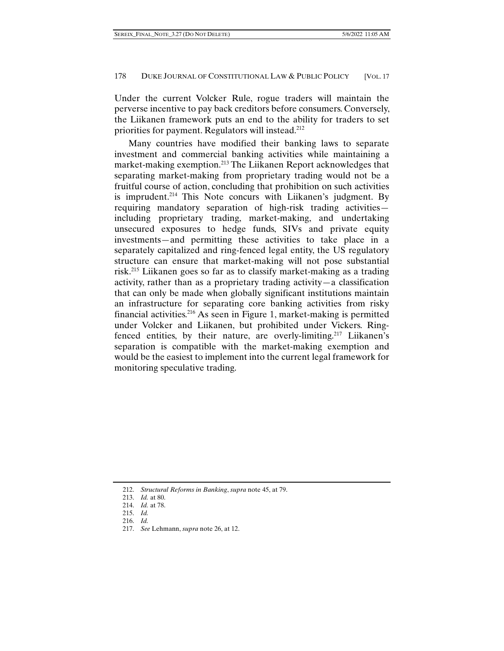Under the current Volcker Rule, rogue traders will maintain the perverse incentive to pay back creditors before consumers. Conversely, the Liikanen framework puts an end to the ability for traders to set priorities for payment. Regulators will instead.212

Many countries have modified their banking laws to separate investment and commercial banking activities while maintaining a market-making exemption.<sup>213</sup> The Liikanen Report acknowledges that separating market-making from proprietary trading would not be a fruitful course of action, concluding that prohibition on such activities is imprudent.<sup>214</sup> This Note concurs with Liikanen's judgment. By requiring mandatory separation of high-risk trading activities including proprietary trading, market-making, and undertaking unsecured exposures to hedge funds, SIVs and private equity investments—and permitting these activities to take place in a separately capitalized and ring-fenced legal entity, the US regulatory structure can ensure that market-making will not pose substantial risk.215 Liikanen goes so far as to classify market-making as a trading activity, rather than as a proprietary trading activity—a classification that can only be made when globally significant institutions maintain an infrastructure for separating core banking activities from risky financial activities.<sup>216</sup> As seen in Figure 1, market-making is permitted under Volcker and Liikanen, but prohibited under Vickers. Ringfenced entities, by their nature, are overly-limiting.<sup>217</sup> Liikanen's separation is compatible with the market-making exemption and would be the easiest to implement into the current legal framework for monitoring speculative trading.

 <sup>212.</sup> *Structural Reforms in Banking*, *supra* note 45, at 79.

 <sup>213.</sup> *Id.* at 80.

 <sup>214.</sup> *Id.* at 78.

 <sup>215.</sup> *Id.*

 <sup>216.</sup> *Id.* 

 <sup>217.</sup> *See* Lehmann, *supra* note 26, at 12.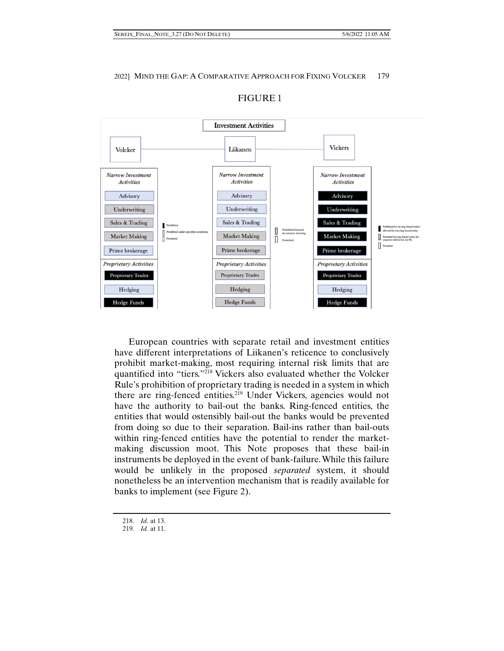

# FIGURE 1

European countries with separate retail and investment entities have different interpretations of Liikanen's reticence to conclusively prohibit market-making, most requiring internal risk limits that are quantified into "tiers."218 Vickers also evaluated whether the Volcker Rule's prohibition of proprietary trading is needed in a system in which there are ring-fenced entities.<sup>219</sup> Under Vickers, agencies would not have the authority to bail-out the banks. Ring-fenced entities, the entities that would ostensibly bail-out the banks would be prevented from doing so due to their separation. Bail-ins rather than bail-outs within ring-fenced entities have the potential to render the marketmaking discussion moot. This Note proposes that these bail-in instruments be deployed in the event of bank-failure. While this failure would be unlikely in the proposed *separated* system, it should nonetheless be an intervention mechanism that is readily available for banks to implement (see Figure 2).

 <sup>218.</sup> *Id.* at 13.

 <sup>219.</sup> *Id.* at 11.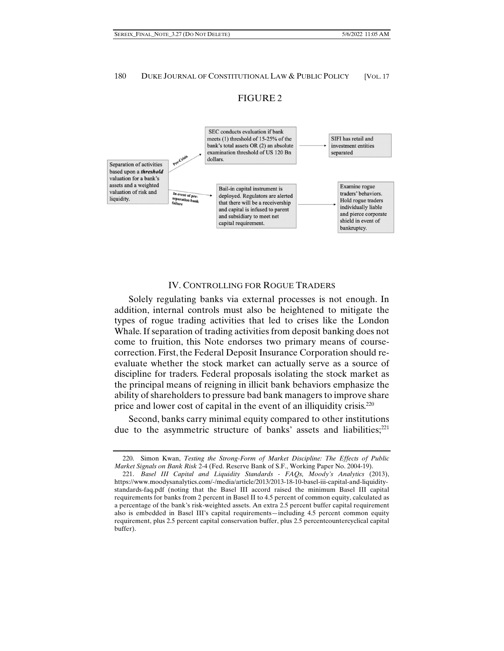#### FIGURE 2



#### IV. CONTROLLING FOR ROGUE TRADERS

Solely regulating banks via external processes is not enough. In addition, internal controls must also be heightened to mitigate the types of rogue trading activities that led to crises like the London Whale. If separation of trading activities from deposit banking does not come to fruition, this Note endorses two primary means of coursecorrection. First, the Federal Deposit Insurance Corporation should reevaluate whether the stock market can actually serve as a source of discipline for traders. Federal proposals isolating the stock market as the principal means of reigning in illicit bank behaviors emphasize the ability of shareholders to pressure bad bank managers to improve share price and lower cost of capital in the event of an illiquidity crisis.<sup>220</sup>

Second, banks carry minimal equity compared to other institutions due to the asymmetric structure of banks' assets and liabilities; $221$ 

 <sup>220.</sup> Simon Kwan, *Testing the Strong-Form of Market Discipline: The Effects of Public Market Signals on Bank Risk* 2-4 (Fed. Reserve Bank of S.F., Working Paper No. 2004-19).

 <sup>221.</sup> *Basel III Capital and Liquidity Standards - FAQs, Moody's Analytics* (2013), https://www.moodysanalytics.com/-/media/article/2013/2013-18-10-basel-iii-capital-and-liquiditystandards-faq.pdf (noting that the Basel III accord raised the minimum Basel III capital requirements for banks from 2 percent in Basel II to 4.5 percent of common equity, calculated as a percentage of the bank's risk-weighted assets. An extra 2.5 percent buffer capital requirement also is embedded in Basel III's capital requirements—including 4.5 percent common equity requirement, plus 2.5 percent capital conservation buffer, plus 2.5 percentcountercyclical capital buffer).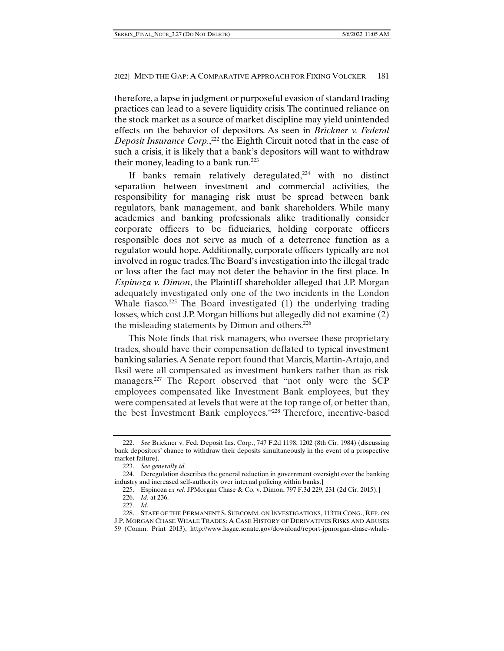therefore, a lapse in judgment or purposeful evasion of standard trading practices can lead to a severe liquidity crisis. The continued reliance on the stock market as a source of market discipline may yield unintended effects on the behavior of depositors. As seen in *Brickner v. Federal Deposit Insurance Corp.*, 222 the Eighth Circuit noted that in the case of such a crisis, it is likely that a bank's depositors will want to withdraw their money, leading to a bank run.223

If banks remain relatively deregulated,<sup>224</sup> with no distinct separation between investment and commercial activities, the responsibility for managing risk must be spread between bank regulators, bank management, and bank shareholders. While many academics and banking professionals alike traditionally consider corporate officers to be fiduciaries, holding corporate officers responsible does not serve as much of a deterrence function as a regulator would hope. Additionally, corporate officers typically are not involved in rogue trades. The Board's investigation into the illegal trade or loss after the fact may not deter the behavior in the first place. In *Espinoza v. Dimon*, the Plaintiff shareholder alleged that J.P. Morgan adequately investigated only one of the two incidents in the London Whale fiasco.<sup>225</sup> The Board investigated (1) the underlying trading losses, which cost J.P. Morgan billions but allegedly did not examine (2) the misleading statements by Dimon and others.<sup>226</sup>

This Note finds that risk managers, who oversee these proprietary trades, should have their compensation deflated to typical investment banking salaries. A Senate report found that Marcis, Martin-Artajo, and Iksil were all compensated as investment bankers rather than as risk managers.227 The Report observed that "not only were the SCP employees compensated like Investment Bank employees, but they were compensated at levels that were at the top range of, or better than, the best Investment Bank employees."228 Therefore, incentive-based

 <sup>222.</sup> *See* Brickner v. Fed. Deposit Ins. Corp., 747 F.2d 1198, 1202 (8th Cir. 1984) (discussing bank depositors' chance to withdraw their deposits simultaneously in the event of a prospective market failure).

 <sup>223.</sup> *See generally id.* 

 <sup>224.</sup> Deregulation describes the general reduction in government oversight over the banking industry and increased self-authority over internal policing within banks.**]** 

 <sup>225.</sup> Espinoza *ex rel.* JPMorgan Chase & Co. v. Dimon, 797 F.3d 229, 231 (2d Cir. 2015).**]** 

 <sup>226.</sup> *Id.* at 236.

 <sup>227.</sup> *Id.* 

 <sup>228.</sup> STAFF OF THE PERMANENT S. SUBCOMM. ON INVESTIGATIONS, 113TH CONG., REP. ON J.P. MORGAN CHASE WHALE TRADES: A CASE HISTORY OF DERIVATIVES RISKS AND ABUSES 59 (Comm. Print 2013), http://www.hsgac.senate.gov/download/report-jpmorgan-chase-whale-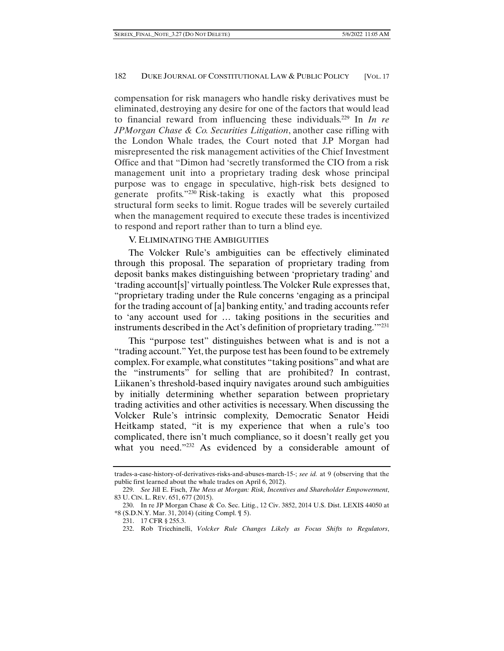compensation for risk managers who handle risky derivatives must be eliminated, destroying any desire for one of the factors that would lead to financial reward from influencing these individuals.229 In *In re JPMorgan Chase & Co. Securities Litigation*, another case rifling with the London Whale trades, the Court noted that J.P Morgan had misrepresented the risk management activities of the Chief Investment Office and that "Dimon had 'secretly transformed the CIO from a risk management unit into a proprietary trading desk whose principal purpose was to engage in speculative, high-risk bets designed to generate profits."230 Risk-taking is exactly what this proposed structural form seeks to limit. Rogue trades will be severely curtailed when the management required to execute these trades is incentivized to respond and report rather than to turn a blind eye.

# V. ELIMINATING THE AMBIGUITIES

The Volcker Rule's ambiguities can be effectively eliminated through this proposal. The separation of proprietary trading from deposit banks makes distinguishing between 'proprietary trading' and 'trading account[s]' virtually pointless. The Volcker Rule expresses that, "proprietary trading under the Rule concerns 'engaging as a principal for the trading account of [a] banking entity,' and trading accounts refer to 'any account used for … taking positions in the securities and instruments described in the Act's definition of proprietary trading.'"231

This "purpose test" distinguishes between what is and is not a "trading account." Yet, the purpose test has been found to be extremely complex. For example, what constitutes "taking positions" and what are the "instruments" for selling that are prohibited? In contrast, Liikanen's threshold-based inquiry navigates around such ambiguities by initially determining whether separation between proprietary trading activities and other activities is necessary. When discussing the Volcker Rule's intrinsic complexity, Democratic Senator Heidi Heitkamp stated, "it is my experience that when a rule's too complicated, there isn't much compliance, so it doesn't really get you what you need."<sup>232</sup> As evidenced by a considerable amount of

trades-a-case-history-of-derivatives-risks-and-abuses-march-15-; *see id.* at 9 (observing that the public first learned about the whale trades on April 6, 2012).

 <sup>229.</sup> *See* Jill E. Fisch, *The Mess at Morgan: Risk, Incentives and Shareholder Empowerment*, 83 U. CIN. L. REV. 651, 677 (2015).

 <sup>230.</sup> In re JP Morgan Chase & Co. Sec. Litig., 12 Civ. 3852, 2014 U.S. Dist. LEXIS 44050 at \*8 (S.D.N.Y. Mar. 31, 2014) (citing Compl. ¶ 5).

 <sup>231. 17</sup> CFR § 255.3.

 <sup>232.</sup> Rob Tricchinelli, *Volcker Rule Changes Likely as Focus Shifts to Regulators*,